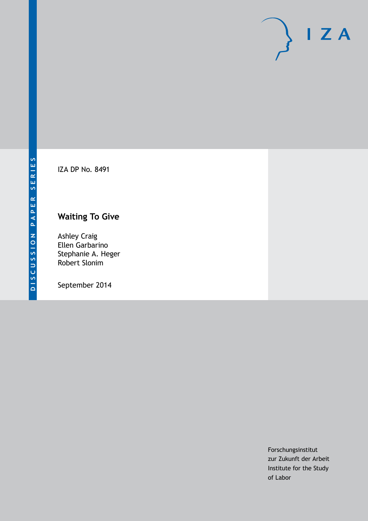IZA DP No. 8491

# **Waiting To Give**

Ashley Craig Ellen Garbarino Stephanie A. Heger Robert Slonim

September 2014

Forschungsinstitut zur Zukunft der Arbeit Institute for the Study of Labor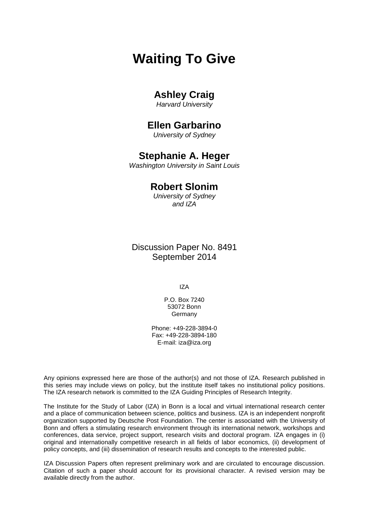# **Waiting To Give**

# **Ashley Craig**

*Harvard University*

## **Ellen Garbarino**

*University of Sydney*

## **Stephanie A. Heger**

*Washington University in Saint Louis*

### **Robert Slonim**

*University of Sydney and IZA*

Discussion Paper No. 8491 September 2014

IZA

P.O. Box 7240 53072 Bonn Germany

Phone: +49-228-3894-0 Fax: +49-228-3894-180 E-mail: [iza@iza.org](mailto:iza@iza.org)

Any opinions expressed here are those of the author(s) and not those of IZA. Research published in this series may include views on policy, but the institute itself takes no institutional policy positions. The IZA research network is committed to the IZA Guiding Principles of Research Integrity.

The Institute for the Study of Labor (IZA) in Bonn is a local and virtual international research center and a place of communication between science, politics and business. IZA is an independent nonprofit organization supported by Deutsche Post Foundation. The center is associated with the University of Bonn and offers a stimulating research environment through its international network, workshops and conferences, data service, project support, research visits and doctoral program. IZA engages in (i) original and internationally competitive research in all fields of labor economics, (ii) development of policy concepts, and (iii) dissemination of research results and concepts to the interested public.

<span id="page-1-0"></span>IZA Discussion Papers often represent preliminary work and are circulated to encourage discussion. Citation of such a paper should account for its provisional character. A revised version may be available directly from the author.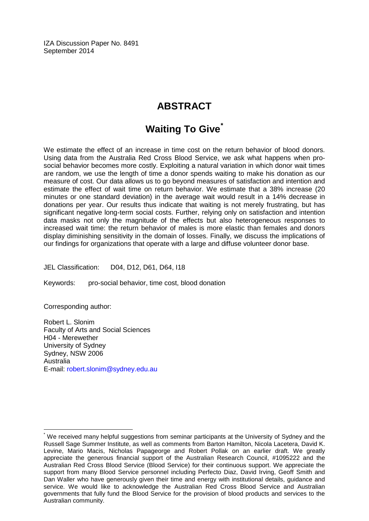IZA Discussion Paper No. 8491 September 2014

# **ABSTRACT**

# **Waiting To Give[\\*](#page-1-0)**

We estimate the effect of an increase in time cost on the return behavior of blood donors. Using data from the Australia Red Cross Blood Service, we ask what happens when prosocial behavior becomes more costly. Exploiting a natural variation in which donor wait times are random, we use the length of time a donor spends waiting to make his donation as our measure of cost. Our data allows us to go beyond measures of satisfaction and intention and estimate the effect of wait time on return behavior. We estimate that a 38% increase (20 minutes or one standard deviation) in the average wait would result in a 14% decrease in donations per year. Our results thus indicate that waiting is not merely frustrating, but has significant negative long-term social costs. Further, relying only on satisfaction and intention data masks not only the magnitude of the effects but also heterogeneous responses to increased wait time: the return behavior of males is more elastic than females and donors display diminishing sensitivity in the domain of losses. Finally, we discuss the implications of our findings for organizations that operate with a large and diffuse volunteer donor base.

JEL Classification: D04, D12, D61, D64, I18

Keywords: pro-social behavior, time cost, blood donation

Corresponding author:

Robert L. Slonim Faculty of Arts and Social Sciences H04 - Merewether University of Sydney Sydney, NSW 2006 Australia E-mail: [robert.slonim@sydney.edu.au](mailto:robert.slonim@sydney.edu.au)

We received many helpful suggestions from seminar participants at the University of Sydney and the Russell Sage Summer Institute, as well as comments from Barton Hamilton, Nicola Lacetera, David K. Levine, Mario Macis, Nicholas Papageorge and Robert Pollak on an earlier draft. We greatly appreciate the generous financial support of the Australian Research Council, #1095222 and the Australian Red Cross Blood Service (Blood Service) for their continuous support. We appreciate the support from many Blood Service personnel including Perfecto Diaz, David Irving, Geoff Smith and Dan Waller who have generously given their time and energy with institutional details, guidance and service. We would like to acknowledge the Australian Red Cross Blood Service and Australian governments that fully fund the Blood Service for the provision of blood products and services to the Australian community.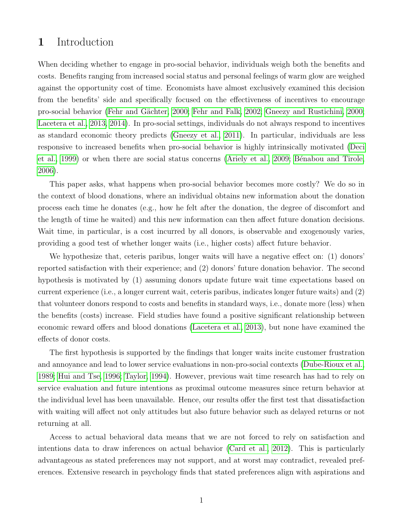### 1 Introduction

When deciding whether to engage in pro-social behavior, individuals weigh both the benefits and costs. Benefits ranging from increased social status and personal feelings of warm glow are weighed against the opportunity cost of time. Economists have almost exclusively examined this decision from the benefits' side and specifically focused on the effectiveness of incentives to encourage pro-social behavior (Fehr and Gächter, 2000; [Fehr and Falk, 2002;](#page-19-1) [Gneezy and Rustichini, 2000;](#page-19-2) [Lacetera et al., 2013,](#page-19-3) [2014\)](#page-20-0). In pro-social settings, individuals do not always respond to incentives as standard economic theory predicts [\(Gneezy et al., 2011\)](#page-19-4). In particular, individuals are less responsive to increased benefits when pro-social behavior is highly intrinsically motivated [\(Deci](#page-18-0) [et al., 1999\)](#page-18-0) or when there are social status concerns [\(Ariely et al., 2009;](#page-18-1) Bénabou and Tirole, [2006\)](#page-18-2).

This paper asks, what happens when pro-social behavior becomes more costly? We do so in the context of blood donations, where an individual obtains new information about the donation process each time he donates (e.g., how he felt after the donation, the degree of discomfort and the length of time he waited) and this new information can then affect future donation decisions. Wait time, in particular, is a cost incurred by all donors, is observable and exogenously varies, providing a good test of whether longer waits (i.e., higher costs) affect future behavior.

We hypothesize that, ceteris paribus, longer waits will have a negative effect on: (1) donors' reported satisfaction with their experience; and (2) donors' future donation behavior. The second hypothesis is motivated by (1) assuming donors update future wait time expectations based on current experience (i.e., a longer current wait, ceteris paribus, indicates longer future waits) and (2) that volunteer donors respond to costs and benefits in standard ways, i.e., donate more (less) when the benefits (costs) increase. Field studies have found a positive significant relationship between economic reward offers and blood donations [\(Lacetera et al., 2013\)](#page-19-3), but none have examined the effects of donor costs.

The first hypothesis is supported by the findings that longer waits incite customer frustration and annoyance and lead to lower service evaluations in non-pro-social contexts [\(Dube-Rioux et al.,](#page-19-5) [1989;](#page-19-5) [Hui and Tse, 1996;](#page-19-6) [Taylor, 1994\)](#page-20-1). However, previous wait time research has had to rely on service evaluation and future intentions as proximal outcome measures since return behavior at the individual level has been unavailable. Hence, our results offer the first test that dissatisfaction with waiting will affect not only attitudes but also future behavior such as delayed returns or not returning at all.

Access to actual behavioral data means that we are not forced to rely on satisfaction and intentions data to draw inferences on actual behavior [\(Card et al., 2012\)](#page-18-3). This is particularly advantageous as stated preferences may not support, and at worst may contradict, revealed preferences. Extensive research in psychology finds that stated preferences align with aspirations and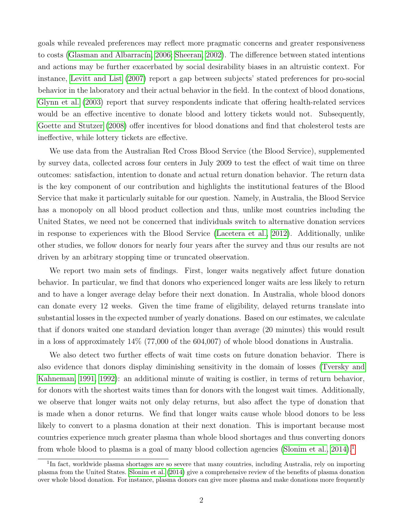goals while revealed preferences may reflect more pragmatic concerns and greater responsiveness to costs (Glasman and Albarracín, 2006; [Sheeran, 2002\)](#page-20-2). The difference between stated intentions and actions may be further exacerbated by social desirability biases in an altruistic context. For instance, [Levitt and List](#page-20-3) [\(2007\)](#page-20-3) report a gap between subjects' stated preferences for pro-social behavior in the laboratory and their actual behavior in the field. In the context of blood donations, [Glynn et al.](#page-19-8) [\(2003\)](#page-19-8) report that survey respondents indicate that offering health-related services would be an effective incentive to donate blood and lottery tickets would not. Subsequently, [Goette and Stutzer](#page-19-9) [\(2008\)](#page-19-9) offer incentives for blood donations and find that cholesterol tests are ineffective, while lottery tickets are effective.

We use data from the Australian Red Cross Blood Service (the Blood Service), supplemented by survey data, collected across four centers in July 2009 to test the effect of wait time on three outcomes: satisfaction, intention to donate and actual return donation behavior. The return data is the key component of our contribution and highlights the institutional features of the Blood Service that make it particularly suitable for our question. Namely, in Australia, the Blood Service has a monopoly on all blood product collection and thus, unlike most countries including the United States, we need not be concerned that individuals switch to alternative donation services in response to experiences with the Blood Service [\(Lacetera et al., 2012\)](#page-19-10). Additionally, unlike other studies, we follow donors for nearly four years after the survey and thus our results are not driven by an arbitrary stopping time or truncated observation.

We report two main sets of findings. First, longer waits negatively affect future donation behavior. In particular, we find that donors who experienced longer waits are less likely to return and to have a longer average delay before their next donation. In Australia, whole blood donors can donate every 12 weeks. Given the time frame of eligibility, delayed returns translate into substantial losses in the expected number of yearly donations. Based on our estimates, we calculate that if donors waited one standard deviation longer than average (20 minutes) this would result in a loss of approximately 14% (77,000 of the 604,007) of whole blood donations in Australia.

We also detect two further effects of wait time costs on future donation behavior. There is also evidence that donors display diminishing sensitivity in the domain of losses [\(Tversky and](#page-20-4) [Kahneman, 1991,](#page-20-4) [1992\)](#page-20-5): an additional minute of waiting is costlier, in terms of return behavior, for donors with the shortest waits times than for donors with the longest wait times. Additionally, we observe that longer waits not only delay returns, but also affect the type of donation that is made when a donor returns. We find that longer waits cause whole blood donors to be less likely to convert to a plasma donation at their next donation. This is important because most countries experience much greater plasma than whole blood shortages and thus converting donors from whole blood to plasma is a goal of many blood collection agencies [\(Slonim et al., 2014\)](#page-20-6).<sup>[1](#page-4-0)</sup>

<span id="page-4-0"></span><sup>&</sup>lt;sup>1</sup>In fact, worldwide plasma shortages are so severe that many countries, including Australia, rely on importing plasma from the United States. [Slonim et al.](#page-20-6) [\(2014\)](#page-20-6) give a comprehensive review of the benefits of plasma donation over whole blood donation. For instance, plasma donors can give more plasma and make donations more frequently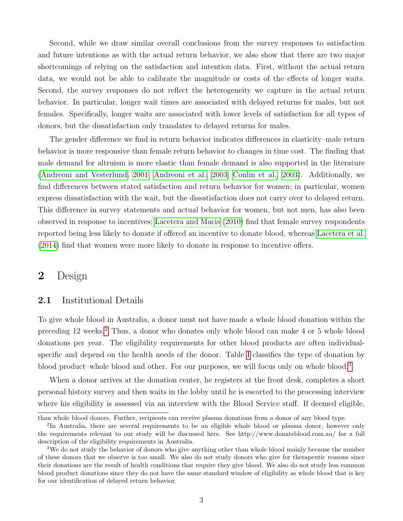Second, while we draw similar overall conclusions from the survey responses to satisfaction and future intentions as with the actual return behavior, we also show that there are two major shortcomings of relying on the satisfaction and intention data. First, without the actual return data, we would not be able to calibrate the magnitude or costs of the effects of longer waits. Second, the survey responses do not reflect the heterogeneity we capture in the actual return behavior. In particular, longer wait times are associated with delayed returns for males, but not females. Specifically, longer waits are associated with lower levels of satisfaction for all types of donors, but the dissatisfaction only translates to delayed returns for males.

The gender difference we find in return behavior indicates differences in elasticity–male return behavior is more responsive than female return behavior to changes in time cost. The finding that male demand for altruism is more elastic than female demand is also supported in the literature [\(Andreoni and Vesterlund, 2001;](#page-18-4) [Andreoni et al., 2003;](#page-18-5) [Conlin et al., 2003\)](#page-18-6). Additionally, we find differences between stated satisfaction and return behavior for women; in particular, women express dissatisfaction with the wait, but the dissatisfaction does not carry over to delayed return. This difference in survey statements and actual behavior for women, but not men, has also been observed in response to incentives; [Lacetera and Macis](#page-19-11) [\(2010\)](#page-19-11) find that female survey respondents reported being less likely to donate if offered an incentive to donate blood, whereas [Lacetera et al.](#page-20-0) [\(2014\)](#page-20-0) find that women were more likely to donate in response to incentive offers.

## 2 Design

### 2.1 Institutional Details

To give whole blood in Australia, a donor must not have made a whole blood donation within the preceding 12 weeks.[2](#page-5-0) Thus, a donor who donates only whole blood can make 4 or 5 whole blood donations per year. The eligibility requirements for other blood products are often individualspecific and depend on the health needs of the donor. Table [I](#page-21-0) classifies the type of donation by blood product–whole blood and other. For our purposes, we will focus only on whole blood.[3](#page-5-1)

When a donor arrives at the donation center, he registers at the front desk, completes a short personal history survey and then waits in the lobby until he is escorted to the processing interview where his eligibility is assessed via an interview with the Blood Service staff. If deemed eligible,

than whole blood donors. Further, recipients can receive plasma donations from a donor of any blood type.

<span id="page-5-0"></span><sup>&</sup>lt;sup>2</sup>In Australia, there are several requirements to be an eligible whole blood or plasma donor, however only the requirements relevant to our study will be discussed here. See http://www.donateblood.com.au/ for a full description of the eligibility requirements in Australia.

<span id="page-5-1"></span><sup>&</sup>lt;sup>3</sup>We do not study the behavior of donors who give anything other than whole blood mainly because the number of these donors that we observe is too small. We also do not study donors who give for therapeutic reasons since their donations are the result of health conditions that require they give blood. We also do not study less common blood product donations since they do not have the same standard window of eligibility as whole blood that is key for our identification of delayed return behavior.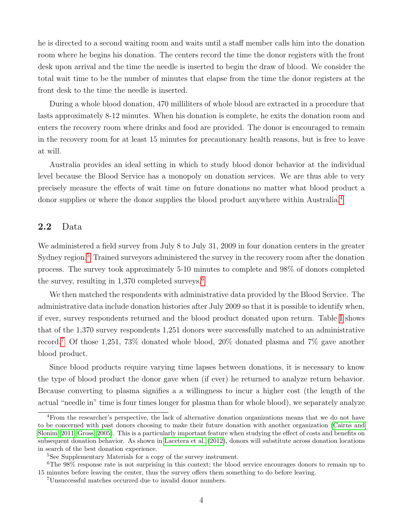he is directed to a second waiting room and waits until a staff member calls him into the donation room where he begins his donation. The centers record the time the donor registers with the front desk upon arrival and the time the needle is inserted to begin the draw of blood. We consider the total wait time to be the number of minutes that elapse from the time the donor registers at the front desk to the time the needle is inserted.

During a whole blood donation, 470 milliliters of whole blood are extracted in a procedure that lasts approximately 8-12 minutes. When his donation is complete, he exits the donation room and enters the recovery room where drinks and food are provided. The donor is encouraged to remain in the recovery room for at least 15 minutes for precautionary health reasons, but is free to leave at will.

Australia provides an ideal setting in which to study blood donor behavior at the individual level because the Blood Service has a monopoly on donation services. We are thus able to very precisely measure the effects of wait time on future donations no matter what blood product a donor supplies or where the donor supplies the blood product anywhere within Australia.<sup>[4](#page-6-0)</sup>

### 2.2 Data

We administered a field survey from July 8 to July 31, 2009 in four donation centers in the greater Sydney region.<sup>[5](#page-6-1)</sup> Trained surveyors administered the survey in the recovery room after the donation process. The survey took approximately 5-10 minutes to complete and 98% of donors completed the survey, resulting in  $1,370$  completed surveys.<sup>[6](#page-6-2)</sup>

We then matched the respondents with administrative data provided by the Blood Service. The administrative data include donation histories after July 2009 so that it is possible to identify when, if ever, survey respondents returned and the blood product donated upon return. Table [I](#page-21-0) shows that of the 1,370 survey respondents 1,251 donors were successfully matched to an administrative record.[7](#page-6-3) Of those 1,251, 73% donated whole blood, 20% donated plasma and 7% gave another blood product.

Since blood products require varying time lapses between donations, it is necessary to know the type of blood product the donor gave when (if ever) he returned to analyze return behavior. Because converting to plasma signifies a a willingness to incur a higher cost (the length of the actual "needle in" time is four times longer for plasma than for whole blood), we separately analyze

<span id="page-6-0"></span><sup>4</sup>From the researcher's perspective, the lack of alternative donation organizations means that we do not have to be concerned with past donors choosing to make their future donation with another organization [\(Cairns and](#page-18-7) [Slonim, 2011;](#page-18-7) [Gross, 2005\)](#page-19-12). This is a particularly important feature when studying the effect of costs and benefits on subsequent donation behavior. As shown in [Lacetera et al.](#page-19-10) [\(2012\)](#page-19-10), donors will substitute across donation locations in search of the best donation experience.

<span id="page-6-2"></span><span id="page-6-1"></span><sup>5</sup>See Supplementary Materials for a copy of the survey instrument.

<sup>6</sup>The 98% response rate is not surprising in this context; the blood service encourages donors to remain up to 15 minutes before leaving the center, thus the survey offers them something to do before leaving.

<span id="page-6-3"></span><sup>7</sup>Unsuccessful matches occurred due to invalid donor numbers.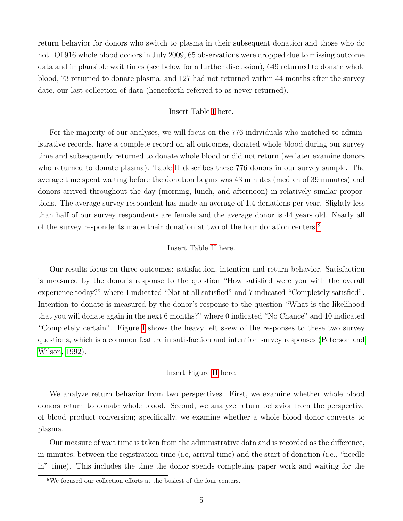return behavior for donors who switch to plasma in their subsequent donation and those who do not. Of 916 whole blood donors in July 2009, 65 observations were dropped due to missing outcome data and implausible wait times (see below for a further discussion), 649 returned to donate whole blood, 73 returned to donate plasma, and 127 had not returned within 44 months after the survey date, our last collection of data (henceforth referred to as never returned).

#### Insert Table [I](#page-21-0) here.

For the majority of our analyses, we will focus on the 776 individuals who matched to administrative records, have a complete record on all outcomes, donated whole blood during our survey time and subsequently returned to donate whole blood or did not return (we later examine donors who returned to donate plasma). Table [II](#page-21-1) describes these 776 donors in our survey sample. The average time spent waiting before the donation begins was 43 minutes (median of 39 minutes) and donors arrived throughout the day (morning, lunch, and afternoon) in relatively similar proportions. The average survey respondent has made an average of 1.4 donations per year. Slightly less than half of our survey respondents are female and the average donor is 44 years old. Nearly all of the survey respondents made their donation at two of the four donation centers.[8](#page-7-0)

#### Insert Table [II](#page-21-1) here.

Our results focus on three outcomes: satisfaction, intention and return behavior. Satisfaction is measured by the donor's response to the question "How satisfied were you with the overall experience today?" where 1 indicated "Not at all satisfied" and 7 indicated "Completely satisfied". Intention to donate is measured by the donor's response to the question "What is the likelihood that you will donate again in the next 6 months?" where 0 indicated "No Chance" and 10 indicated "Completely certain". Figure [I](#page-25-0) shows the heavy left skew of the responses to these two survey questions, which is a common feature in satisfaction and intention survey responses [\(Peterson and](#page-20-7) [Wilson, 1992\)](#page-20-7).

#### Insert Figure [II](#page-25-1) here.

We analyze return behavior from two perspectives. First, we examine whether whole blood donors return to donate whole blood. Second, we analyze return behavior from the perspective of blood product conversion; specifically, we examine whether a whole blood donor converts to plasma.

Our measure of wait time is taken from the administrative data and is recorded as the difference, in minutes, between the registration time (i.e, arrival time) and the start of donation (i.e., "needle in" time). This includes the time the donor spends completing paper work and waiting for the

<span id="page-7-0"></span><sup>8</sup>We focused our collection efforts at the busiest of the four centers.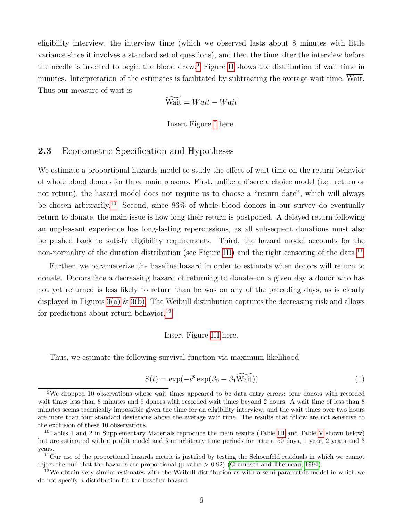eligibility interview, the interview time (which we observed lasts about 8 minutes with little variance since it involves a standard set of questions), and then the time after the interview before the needle is inserted to begin the blood draw.[9](#page-8-0) Figure [II](#page-25-1) shows the distribution of wait time in minutes. Interpretation of the estimates is facilitated by subtracting the average wait time, Wait. Thus our measure of wait is

$$
\widetilde{\text{Wait}} = Wait - \overline{Wait}
$$

Insert Figure [I](#page-25-0) here.

### 2.3 Econometric Specification and Hypotheses

We estimate a proportional hazards model to study the effect of wait time on the return behavior of whole blood donors for three main reasons. First, unlike a discrete choice model (i.e., return or not return), the hazard model does not require us to choose a "return date", which will always be chosen arbitrarily.[10](#page-8-1) Second, since 86% of whole blood donors in our survey do eventually return to donate, the main issue is how long their return is postponed. A delayed return following an unpleasant experience has long-lasting repercussions, as all subsequent donations must also be pushed back to satisfy eligibility requirements. Third, the hazard model accounts for the non-normality of the duration distribution (see Figure [III\)](#page-26-0) and the right censoring of the data.<sup>[11](#page-8-2)</sup>

Further, we parameterize the baseline hazard in order to estimate when donors will return to donate. Donors face a decreasing hazard of returning to donate–on a given day a donor who has not yet returned is less likely to return than he was on any of the preceding days, as is clearly displayed in Figures  $3(a) \& 3(b)$ . The Weibull distribution captures the decreasing risk and allows for predictions about return behavior.<sup>[12](#page-8-3)</sup>

#### Insert Figure [III](#page-26-0) here.

Thus, we estimate the following survival function via maximum likelihood

<span id="page-8-4"></span>
$$
S(t) = \exp(-t^p \exp(\beta_0 - \beta_1 \widetilde{\text{Wait}}))
$$
\n(1)

<span id="page-8-0"></span><sup>9</sup>We dropped 10 observations whose wait times appeared to be data entry errors: four donors with recorded wait times less than 8 minutes and 6 donors with recorded wait times beyond 2 hours. A wait time of less than 8 minutes seems technically impossible given the time for an eligibility interview, and the wait times over two hours are more than four standard deviations above the average wait time. The results that follow are not sensitive to the exclusion of these 10 observations.

<span id="page-8-1"></span><sup>&</sup>lt;sup>10</sup>Tables 1 and 2 in Supplementary Materials reproduce the main results (Table [III](#page-22-0) and Table [V](#page-23-0) shown below) but are estimated with a probit model and four arbitrary time periods for return–50 days, 1 year, 2 years and 3 years.

<span id="page-8-2"></span><sup>&</sup>lt;sup>11</sup>Our use of the proportional hazards metric is justified by testing the Schoenfeld residuals in which we cannot reject the null that the hazards are proportional (p-value  $> 0.92$ ) [\(Grambsch and Therneau, 1994\)](#page-19-13).

<span id="page-8-3"></span><sup>12</sup>We obtain very similar estimates with the Weibull distribution as with a semi-parametric model in which we do not specify a distribution for the baseline hazard.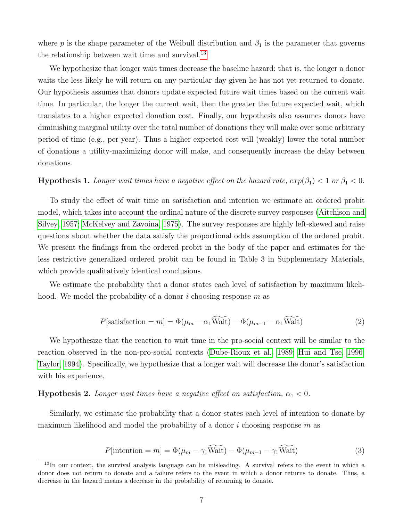where p is the shape parameter of the Weibull distribution and  $\beta_1$  is the parameter that governs the relationship between wait time and survival.<sup>[13](#page-9-0)</sup>

We hypothesize that longer wait times decrease the baseline hazard; that is, the longer a donor waits the less likely he will return on any particular day given he has not yet returned to donate. Our hypothesis assumes that donors update expected future wait times based on the current wait time. In particular, the longer the current wait, then the greater the future expected wait, which translates to a higher expected donation cost. Finally, our hypothesis also assumes donors have diminishing marginal utility over the total number of donations they will make over some arbitrary period of time (e.g., per year). Thus a higher expected cost will (weakly) lower the total number of donations a utility-maximizing donor will make, and consequently increase the delay between donations.

#### <span id="page-9-2"></span>**Hypothesis 1.** Longer wait times have a negative effect on the hazard rate,  $exp(\beta_1) < 1$  or  $\beta_1 < 0$ .

To study the effect of wait time on satisfaction and intention we estimate an ordered probit model, which takes into account the ordinal nature of the discrete survey responses [\(Aitchison and](#page-18-8) [Silvey, 1957;](#page-18-8) [McKelvey and Zavoina, 1975\)](#page-20-8). The survey responses are highly left-skewed and raise questions about whether the data satisfy the proportional odds assumption of the ordered probit. We present the findings from the ordered probit in the body of the paper and estimates for the less restrictive generalized ordered probit can be found in Table 3 in Supplementary Materials, which provide qualitatively identical conclusions.

We estimate the probability that a donor states each level of satisfaction by maximum likelihood. We model the probability of a donor i choosing response  $m$  as

$$
P[{\text{satisfactor}} = m] = \Phi(\mu_m - \alpha_1 \widetilde{\text{Wait}}) - \Phi(\mu_{m-1} - \alpha_1 \widetilde{\text{Wait}})
$$
\n(2)

We hypothesize that the reaction to wait time in the pro-social context will be similar to the reaction observed in the non-pro-social contexts [\(Dube-Rioux et al., 1989;](#page-19-5) [Hui and Tse, 1996;](#page-19-6) [Taylor, 1994\)](#page-20-1). Specifically, we hypothesize that a longer wait will decrease the donor's satisfaction with his experience.

#### **Hypothesis 2.** Longer wait times have a negative effect on satisfaction,  $\alpha_1 < 0$ .

Similarly, we estimate the probability that a donor states each level of intention to donate by maximum likelihood and model the probability of a donor i choosing response  $m$  as

<span id="page-9-1"></span>
$$
P[\text{intention} = m] = \Phi(\mu_m - \gamma_1 \widetilde{\text{Wait}}) - \Phi(\mu_{m-1} - \gamma_1 \widetilde{\text{Wait}})
$$
\n(3)

<span id="page-9-0"></span><sup>13</sup>In our context, the survival analysis language can be misleading. A survival refers to the event in which a donor does not return to donate and a failure refers to the event in which a donor returns to donate. Thus, a decrease in the hazard means a decrease in the probability of returning to donate.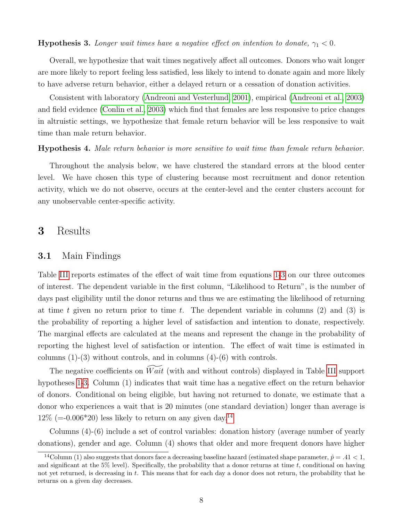#### <span id="page-10-0"></span>**Hypothesis 3.** Longer wait times have a negative effect on intention to donate,  $\gamma_1 < 0$ .

Overall, we hypothesize that wait times negatively affect all outcomes. Donors who wait longer are more likely to report feeling less satisfied, less likely to intend to donate again and more likely to have adverse return behavior, either a delayed return or a cessation of donation activities.

Consistent with laboratory [\(Andreoni and Vesterlund, 2001\)](#page-18-4), empirical [\(Andreoni et al., 2003\)](#page-18-5) and field evidence [\(Conlin et al., 2003\)](#page-18-6) which find that females are less responsive to price changes in altruistic settings, we hypothesize that female return behavior will be less responsive to wait time than male return behavior.

#### Hypothesis 4. Male return behavior is more sensitive to wait time than female return behavior.

Throughout the analysis below, we have clustered the standard errors at the blood center level. We have chosen this type of clustering because most recruitment and donor retention activity, which we do not observe, occurs at the center-level and the center clusters account for any unobservable center-specific activity.

### 3 Results

#### 3.1 Main Findings

Table [III](#page-22-0) reports estimates of the effect of wait time from equations [1](#page-8-4)[-3](#page-9-1) on our three outcomes of interest. The dependent variable in the first column, "Likelihood to Return", is the number of days past eligibility until the donor returns and thus we are estimating the likelihood of returning at time t given no return prior to time t. The dependent variable in columns  $(2)$  and  $(3)$  is the probability of reporting a higher level of satisfaction and intention to donate, respectively. The marginal effects are calculated at the means and represent the change in the probability of reporting the highest level of satisfaction or intention. The effect of wait time is estimated in columns  $(1)-(3)$  without controls, and in columns  $(4)-(6)$  with controls.

The negative coefficients on  $\widetilde{Wait}$  (with and without controls) displayed in Table [III](#page-22-0) support hypotheses [1-](#page-9-2)[3.](#page-10-0) Column (1) indicates that wait time has a negative effect on the return behavior of donors. Conditional on being eligible, but having not returned to donate, we estimate that a donor who experiences a wait that is 20 minutes (one standard deviation) longer than average is  $12\%$  (=-0.006\*20) less likely to return on any given day.<sup>[14](#page-10-1)</sup>

Columns (4)-(6) include a set of control variables: donation history (average number of yearly donations), gender and age. Column (4) shows that older and more frequent donors have higher

<span id="page-10-1"></span><sup>&</sup>lt;sup>14</sup>Column (1) also suggests that donors face a decreasing baseline hazard (estimated shape parameter,  $\hat{p} = .41 < 1$ , and significant at the  $5\%$  level). Specifically, the probability that a donor returns at time t, conditional on having not yet returned, is decreasing in t. This means that for each day a donor does not return, the probability that he returns on a given day decreases.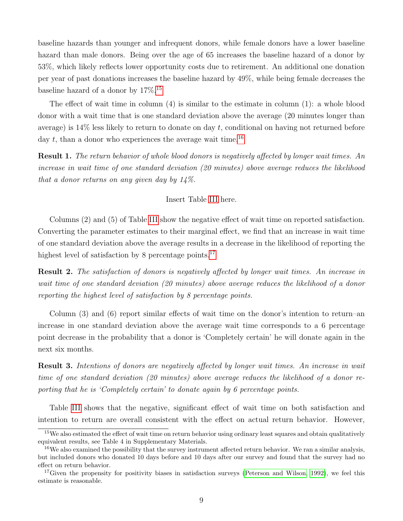baseline hazards than younger and infrequent donors, while female donors have a lower baseline hazard than male donors. Being over the age of 65 increases the baseline hazard of a donor by 53%, which likely reflects lower opportunity costs due to retirement. An additional one donation per year of past donations increases the baseline hazard by 49%, while being female decreases the baseline hazard of a donor by  $17\%$ .<sup>[15](#page-11-0)</sup>

The effect of wait time in column (4) is similar to the estimate in column (1): a whole blood donor with a wait time that is one standard deviation above the average (20 minutes longer than average) is  $14\%$  less likely to return to donate on day t, conditional on having not returned before day t, than a donor who experiences the average wait time.<sup>[16](#page-11-1)</sup>

Result 1. The return behavior of whole blood donors is negatively affected by longer wait times. An increase in wait time of one standard deviation (20 minutes) above average reduces the likelihood that a donor returns on any given day by 14%.

#### Insert Table [III](#page-22-0) here.

Columns (2) and (5) of Table [III](#page-22-0) show the negative effect of wait time on reported satisfaction. Converting the parameter estimates to their marginal effect, we find that an increase in wait time of one standard deviation above the average results in a decrease in the likelihood of reporting the highest level of satisfaction by 8 percentage points.<sup>[17](#page-11-2)</sup>

Result 2. The satisfaction of donors is negatively affected by longer wait times. An increase in wait time of one standard deviation (20 minutes) above average reduces the likelihood of a donor reporting the highest level of satisfaction by 8 percentage points.

Column (3) and (6) report similar effects of wait time on the donor's intention to return–an increase in one standard deviation above the average wait time corresponds to a 6 percentage point decrease in the probability that a donor is 'Completely certain' he will donate again in the next six months.

Result 3. Intentions of donors are negatively affected by longer wait times. An increase in wait time of one standard deviation (20 minutes) above average reduces the likelihood of a donor reporting that he is 'Completely certain' to donate again by 6 percentage points.

Table [III](#page-22-0) shows that the negative, significant effect of wait time on both satisfaction and intention to return are overall consistent with the effect on actual return behavior. However,

<span id="page-11-0"></span><sup>&</sup>lt;sup>15</sup>We also estimated the effect of wait time on return behavior using ordinary least squares and obtain qualitatively equivalent results, see Table 4 in Supplementary Materials.

<span id="page-11-1"></span> $16$ We also examined the possibility that the survey instrument affected return behavior. We ran a similar analysis, but included donors who donated 10 days before and 10 days after our survey and found that the survey had no effect on return behavior.

<span id="page-11-2"></span> $17$ Given the propensity for positivity biases in satisfaction surveys [\(Peterson and Wilson, 1992\)](#page-20-7), we feel this estimate is reasonable.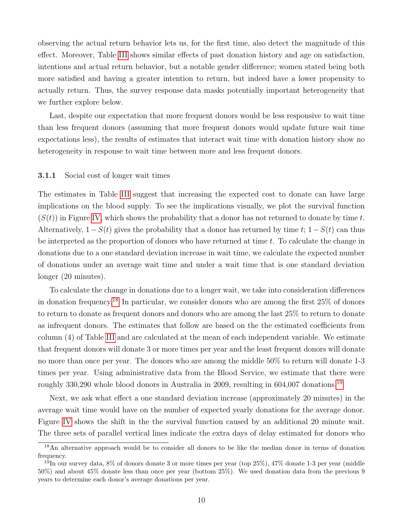observing the actual return behavior lets us, for the first time, also detect the magnitude of this effect. Moreover, Table [III](#page-22-0) shows similar effects of past donation history and age on satisfaction, intentions and actual return behavior, but a notable gender difference; women stated being both more satisfied and having a greater intention to return, but indeed have a lower propensity to actually return. Thus, the survey response data masks potentially important heterogeneity that we further explore below.

Last, despite our expectation that more frequent donors would be less responsive to wait time than less frequent donors (assuming that more frequent donors would update future wait time expectations less), the results of estimates that interact wait time with donation history show no heterogeneity in response to wait time between more and less frequent donors.

#### <span id="page-12-2"></span>3.1.1 Social cost of longer wait times

The estimates in Table [III](#page-22-0) suggest that increasing the expected cost to donate can have large implications on the blood supply. To see the implications visually, we plot the survival function  $(S(t))$  in Figure [IV,](#page-26-3) which shows the probability that a donor has not returned to donate by time t. Alternatively,  $1-S(t)$  gives the probability that a donor has returned by time t;  $1-S(t)$  can thus be interpreted as the proportion of donors who have returned at time  $t$ . To calculate the change in donations due to a one standard deviation increase in wait time, we calculate the expected number of donations under an average wait time and under a wait time that is one standard deviation longer (20 minutes).

To calculate the change in donations due to a longer wait, we take into consideration differences in donation frequency.[18](#page-12-0) In particular, we consider donors who are among the first 25% of donors to return to donate as frequent donors and donors who are among the last 25% to return to donate as infrequent donors. The estimates that follow are based on the the estimated coefficients from column (4) of Table [III](#page-22-0) and are calculated at the mean of each independent variable. We estimate that frequent donors will donate 3 or more times per year and the least frequent donors will donate no more than once per year. The donors who are among the middle 50% to return will donate 1-3 times per year. Using administrative data from the Blood Service, we estimate that there were roughly 330,290 whole blood donors in Australia in 2009, resulting in 604,007 donations.<sup>[19](#page-12-1)</sup>

Next, we ask what effect a one standard deviation increase (approximately 20 minutes) in the average wait time would have on the number of expected yearly donations for the average donor. Figure [IV](#page-26-3) shows the shift in the the survival function caused by an additional 20 minute wait. The three sets of parallel vertical lines indicate the extra days of delay estimated for donors who

<span id="page-12-0"></span><sup>18</sup>An alternative approach would be to consider all donors to be like the median donor in terms of donation frequency.

<span id="page-12-1"></span> $19$ In our survey data, 8% of donors donate 3 or more times per year (top 25%), 47% donate 1-3 per year (middle 50%) and about 45% donate less than once per year (bottom 25%). We used donation data from the previous 9 years to determine each donor's average donations per year.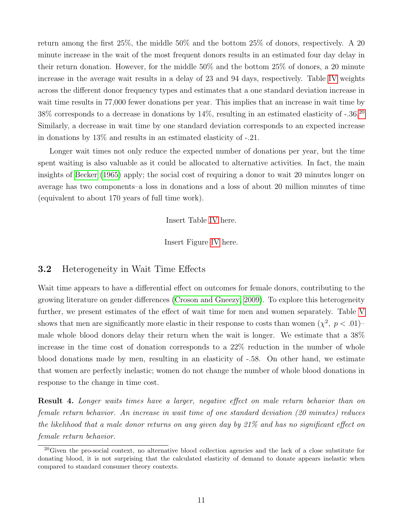return among the first 25%, the middle 50% and the bottom 25% of donors, respectively. A 20 minute increase in the wait of the most frequent donors results in an estimated four day delay in their return donation. However, for the middle 50% and the bottom 25% of donors, a 20 minute increase in the average wait results in a delay of 23 and 94 days, respectively. Table [IV](#page-22-1) weights across the different donor frequency types and estimates that a one standard deviation increase in wait time results in  $77,000$  fewer donations per year. This implies that an increase in wait time by 38% corresponds to a decrease in donations by 14%, resulting in an estimated elasticity of -.36.[20](#page-13-0) Similarly, a decrease in wait time by one standard deviation corresponds to an expected increase in donations by 13% and results in an estimated elasticity of -.21.

Longer wait times not only reduce the expected number of donations per year, but the time spent waiting is also valuable as it could be allocated to alternative activities. In fact, the main insights of [Becker](#page-18-9) [\(1965\)](#page-18-9) apply; the social cost of requiring a donor to wait 20 minutes longer on average has two components–a loss in donations and a loss of about 20 million minutes of time (equivalent to about 170 years of full time work).

Insert Table [IV](#page-22-1) here.

Insert Figure [IV](#page-26-3) here.

### 3.2 Heterogeneity in Wait Time Effects

Wait time appears to have a differential effect on outcomes for female donors, contributing to the growing literature on gender differences [\(Croson and Gneezy, 2009\)](#page-18-10). To explore this heterogeneity further, we present estimates of the effect of wait time for men and women separately. Table [V](#page-23-0) shows that men are significantly more elastic in their response to costs than women  $(\chi^2, p < .01)$ male whole blood donors delay their return when the wait is longer. We estimate that a 38% increase in the time cost of donation corresponds to a 22% reduction in the number of whole blood donations made by men, resulting in an elasticity of -.58. On other hand, we estimate that women are perfectly inelastic; women do not change the number of whole blood donations in response to the change in time cost.

Result 4. Longer waits times have a larger, negative effect on male return behavior than on female return behavior. An increase in wait time of one standard deviation (20 minutes) reduces the likelihood that a male donor returns on any given day by 21% and has no significant effect on female return behavior.

<span id="page-13-0"></span><sup>&</sup>lt;sup>20</sup>Given the pro-social context, no alternative blood collection agencies and the lack of a close substitute for donating blood, it is not surprising that the calculated elasticity of demand to donate appears inelastic when compared to standard consumer theory contexts.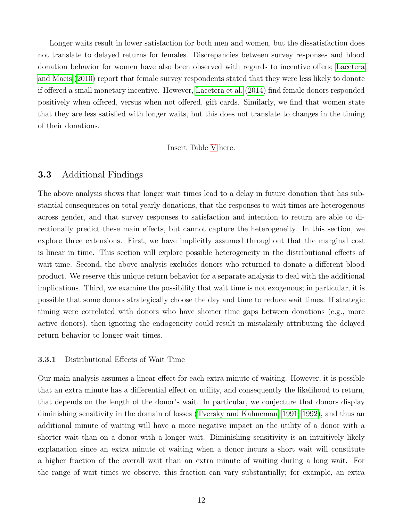Longer waits result in lower satisfaction for both men and women, but the dissatisfaction does not translate to delayed returns for females. Discrepancies between survey responses and blood donation behavior for women have also been observed with regards to incentive offers; [Lacetera](#page-19-11) [and Macis](#page-19-11) [\(2010\)](#page-19-11) report that female survey respondents stated that they were less likely to donate if offered a small monetary incentive. However, [Lacetera et al.](#page-20-0) [\(2014\)](#page-20-0) find female donors responded positively when offered, versus when not offered, gift cards. Similarly, we find that women state that they are less satisfied with longer waits, but this does not translate to changes in the timing of their donations.

#### Insert Table [V](#page-23-0) here.

### 3.3 Additional Findings

The above analysis shows that longer wait times lead to a delay in future donation that has substantial consequences on total yearly donations, that the responses to wait times are heterogenous across gender, and that survey responses to satisfaction and intention to return are able to directionally predict these main effects, but cannot capture the heterogeneity. In this section, we explore three extensions. First, we have implicitly assumed throughout that the marginal cost is linear in time. This section will explore possible heterogeneity in the distributional effects of wait time. Second, the above analysis excludes donors who returned to donate a different blood product. We reserve this unique return behavior for a separate analysis to deal with the additional implications. Third, we examine the possibility that wait time is not exogenous; in particular, it is possible that some donors strategically choose the day and time to reduce wait times. If strategic timing were correlated with donors who have shorter time gaps between donations (e.g., more active donors), then ignoring the endogeneity could result in mistakenly attributing the delayed return behavior to longer wait times.

#### 3.3.1 Distributional Effects of Wait Time

Our main analysis assumes a linear effect for each extra minute of waiting. However, it is possible that an extra minute has a differential effect on utility, and consequently the likelihood to return, that depends on the length of the donor's wait. In particular, we conjecture that donors display diminishing sensitivity in the domain of losses [\(Tversky and Kahneman, 1991,](#page-20-4) [1992\)](#page-20-5), and thus an additional minute of waiting will have a more negative impact on the utility of a donor with a shorter wait than on a donor with a longer wait. Diminishing sensitivity is an intuitively likely explanation since an extra minute of waiting when a donor incurs a short wait will constitute a higher fraction of the overall wait than an extra minute of waiting during a long wait. For the range of wait times we observe, this fraction can vary substantially; for example, an extra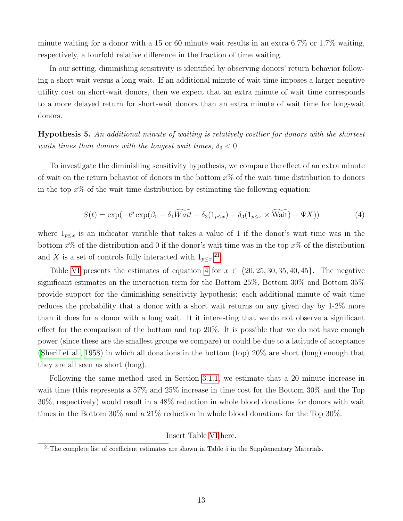minute waiting for a donor with a 15 or 60 minute wait results in an extra 6.7% or 1.7% waiting, respectively, a fourfold relative difference in the fraction of time waiting.

In our setting, diminishing sensitivity is identified by observing donors' return behavior following a short wait versus a long wait. If an additional minute of wait time imposes a larger negative utility cost on short-wait donors, then we expect that an extra minute of wait time corresponds to a more delayed return for short-wait donors than an extra minute of wait time for long-wait donors.

Hypothesis 5. An additional minute of waiting is relatively costlier for donors with the shortest waits times than donors with the longest wait times,  $\delta_3 < 0$ .

To investigate the diminishing sensitivity hypothesis, we compare the effect of an extra minute of wait on the return behavior of donors in the bottom  $x\%$  of the wait time distribution to donors in the top  $x\%$  of the wait time distribution by estimating the following equation:

<span id="page-15-1"></span>
$$
S(t) = \exp(-t^p \exp(\beta_0 - \delta_1 \widetilde{Wait} - \delta_3(1_{p \le x}) - \delta_3(1_{p \le x} \times \widetilde{Wait}) - \Psi X))
$$
(4)

where  $1_{p\leq x}$  is an indicator variable that takes a value of 1 if the donor's wait time was in the bottom  $x\%$  of the distribution and 0 if the donor's wait time was in the top  $x\%$  of the distribution and X is a set of controls fully interacted with  $1_{p\leq x}$ .<sup>[21](#page-15-0)</sup>

Table [VI](#page-24-0) presents the estimates of equation [4](#page-15-1) for  $x \in \{20, 25, 30, 35, 40, 45\}$ . The negative significant estimates on the interaction term for the Bottom 25%, Bottom 30% and Bottom 35% provide support for the diminishing sensitivity hypothesis: each additional minute of wait time reduces the probability that a donor with a short wait returns on any given day by 1-2% more than it does for a donor with a long wait. It it interesting that we do not observe a significant effect for the comparison of the bottom and top 20%. It is possible that we do not have enough power (since these are the smallest groups we compare) or could be due to a latitude of acceptance [\(Sherif et al., 1958\)](#page-20-9) in which all donations in the bottom (top) 20% are short (long) enough that they are all seen as short (long).

Following the same method used in Section [3.1.1,](#page-12-2) we estimate that a 20 minute increase in wait time (this represents a 57% and 25% increase in time cost for the Bottom 30% and the Top 30%, respectively) would result in a 48% reduction in whole blood donations for donors with wait times in the Bottom 30% and a 21% reduction in whole blood donations for the Top 30%.

#### Insert Table [VI](#page-24-0) here.

<span id="page-15-0"></span> $21$ The complete list of coefficient estimates are shown in Table 5 in the Supplementary Materials.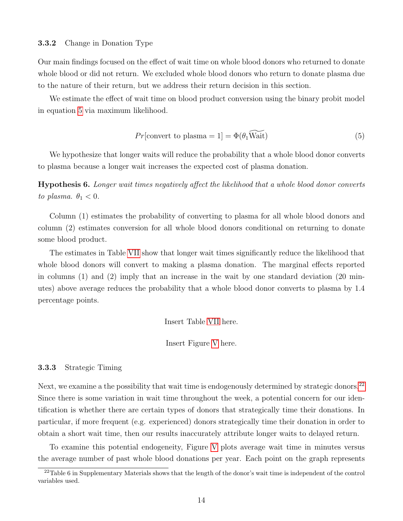#### 3.3.2 Change in Donation Type

Our main findings focused on the effect of wait time on whole blood donors who returned to donate whole blood or did not return. We excluded whole blood donors who return to donate plasma due to the nature of their return, but we address their return decision in this section.

We estimate the effect of wait time on blood product conversion using the binary probit model in equation [5](#page-16-0) via maximum likelihood.

<span id="page-16-0"></span>
$$
Pr[\text{convert to plasma} = 1] = \Phi(\theta_1 \widetilde{\text{Wait}})
$$
\n(5)

We hypothesize that longer waits will reduce the probability that a whole blood donor converts to plasma because a longer wait increases the expected cost of plasma donation.

Hypothesis 6. Longer wait times negatively affect the likelihood that a whole blood donor converts to plasma.  $\theta_1 < 0$ .

Column (1) estimates the probability of converting to plasma for all whole blood donors and column (2) estimates conversion for all whole blood donors conditional on returning to donate some blood product.

The estimates in Table [VII](#page-24-1) show that longer wait times significantly reduce the likelihood that whole blood donors will convert to making a plasma donation. The marginal effects reported in columns (1) and (2) imply that an increase in the wait by one standard deviation (20 minutes) above average reduces the probability that a whole blood donor converts to plasma by 1.4 percentage points.

Insert Table [VII](#page-24-1) here.

Insert Figure [V](#page-27-0) here.

#### 3.3.3 Strategic Timing

Next, we examine a the possibility that wait time is endogenously determined by strategic donors.<sup>[22](#page-16-1)</sup> Since there is some variation in wait time throughout the week, a potential concern for our identification is whether there are certain types of donors that strategically time their donations. In particular, if more frequent (e.g. experienced) donors strategically time their donation in order to obtain a short wait time, then our results inaccurately attribute longer waits to delayed return.

To examine this potential endogeneity, Figure [V](#page-27-0) plots average wait time in minutes versus the average number of past whole blood donations per year. Each point on the graph represents

<span id="page-16-1"></span> $22$ Table 6 in Supplementary Materials shows that the length of the donor's wait time is independent of the control variables used.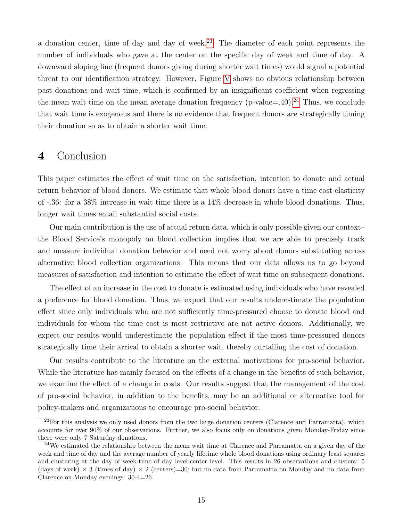a donation center, time of day and day of week.<sup>[23](#page-17-0)</sup> The diameter of each point represents the number of individuals who gave at the center on the specific day of week and time of day. A downward sloping line (frequent donors giving during shorter wait times) would signal a potential threat to our identification strategy. However, Figure [V](#page-27-0) shows no obvious relationship between past donations and wait time, which is confirmed by an insignificant coefficient when regressing the mean wait time on the mean average donation frequency (p-value=.40).<sup>[24](#page-17-1)</sup> Thus, we conclude that wait time is exogenous and there is no evidence that frequent donors are strategically timing their donation so as to obtain a shorter wait time.

## 4 Conclusion

This paper estimates the effect of wait time on the satisfaction, intention to donate and actual return behavior of blood donors. We estimate that whole blood donors have a time cost elasticity of -.36: for a 38% increase in wait time there is a 14% decrease in whole blood donations. Thus, longer wait times entail substantial social costs.

Our main contribution is the use of actual return data, which is only possible given our context– the Blood Service's monopoly on blood collection implies that we are able to precisely track and measure individual donation behavior and need not worry about donors substituting across alternative blood collection organizations. This means that our data allows us to go beyond measures of satisfaction and intention to estimate the effect of wait time on subsequent donations.

The effect of an increase in the cost to donate is estimated using individuals who have revealed a preference for blood donation. Thus, we expect that our results underestimate the population effect since only individuals who are not sufficiently time-pressured choose to donate blood and individuals for whom the time cost is most restrictive are not active donors. Additionally, we expect our results would underestimate the population effect if the most time-pressured donors strategically time their arrival to obtain a shorter wait, thereby curtailing the cost of donation.

Our results contribute to the literature on the external motivations for pro-social behavior. While the literature has mainly focused on the effects of a change in the benefits of such behavior, we examine the effect of a change in costs. Our results suggest that the management of the cost of pro-social behavior, in addition to the benefits, may be an additional or alternative tool for policy-makers and organizations to encourage pro-social behavior.

<span id="page-17-0"></span><sup>&</sup>lt;sup>23</sup>For this analysis we only used donors from the two large donation centers (Clarence and Parramatta), which accounts for over 90% of our observations. Further, we also focus only on donations given Monday-Friday since there were only 7 Saturday donations.

<span id="page-17-1"></span><sup>&</sup>lt;sup>24</sup>We estimated the relationship between the mean wait time at Clarence and Parramatta on a given day of the week and time of day and the average number of yearly lifetime whole blood donations using ordinary least squares and clustering at the day of week-time of day level-center level. This results in 26 observations and clusters: 5 (days of week)  $\times$  3 (times of day)  $\times$  2 (centers)=30; but no data from Parramatta on Monday and no data from Clarence on Monday evenings: 30-4=26.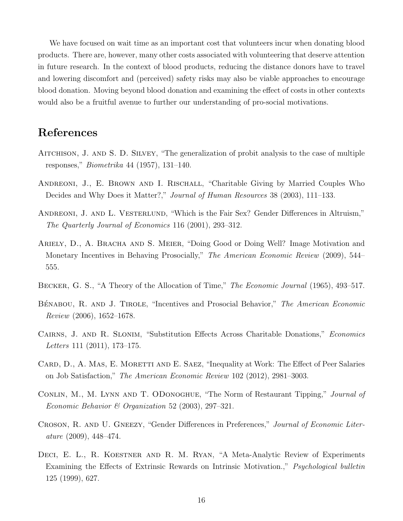We have focused on wait time as an important cost that volunteers incur when donating blood products. There are, however, many other costs associated with volunteering that deserve attention in future research. In the context of blood products, reducing the distance donors have to travel and lowering discomfort and (perceived) safety risks may also be viable approaches to encourage blood donation. Moving beyond blood donation and examining the effect of costs in other contexts would also be a fruitful avenue to further our understanding of pro-social motivations.

# References

- <span id="page-18-8"></span>Aitchison, J. and S. D. Silvey, "The generalization of probit analysis to the case of multiple responses," Biometrika 44 (1957), 131–140.
- <span id="page-18-5"></span>ANDREONI, J., E. BROWN AND I. RISCHALL, "Charitable Giving by Married Couples Who Decides and Why Does it Matter?," Journal of Human Resources 38 (2003), 111–133.
- <span id="page-18-4"></span>ANDREONI, J. AND L. VESTERLUND, "Which is the Fair Sex? Gender Differences in Altruism," The Quarterly Journal of Economics 116 (2001), 293–312.
- <span id="page-18-1"></span>Ariely, D., A. Bracha and S. Meier, "Doing Good or Doing Well? Image Motivation and Monetary Incentives in Behaving Prosocially," The American Economic Review (2009), 544– 555.
- <span id="page-18-9"></span>BECKER, G. S., "A Theory of the Allocation of Time," *The Economic Journal* (1965), 493–517.
- <span id="page-18-2"></span>BÉNABOU, R. AND J. TIROLE, "Incentives and Prosocial Behavior," The American Economic Review (2006), 1652–1678.
- <span id="page-18-7"></span>CAIRNS, J. AND R. SLONIM, "Substitution Effects Across Charitable Donations," Economics Letters 111 (2011), 173–175.
- <span id="page-18-3"></span>CARD, D., A. MAS, E. MORETTI AND E. SAEZ, "Inequality at Work: The Effect of Peer Salaries on Job Satisfaction," The American Economic Review 102 (2012), 2981–3003.
- <span id="page-18-6"></span>CONLIN, M., M. LYNN AND T. ODONOGHUE, "The Norm of Restaurant Tipping," Journal of Economic Behavior & Organization 52 (2003), 297–321.
- <span id="page-18-10"></span>CROSON, R. AND U. GNEEZY, "Gender Differences in Preferences," Journal of Economic Literature (2009), 448–474.
- <span id="page-18-0"></span>DECI, E. L., R. KOESTNER AND R. M. RYAN, "A Meta-Analytic Review of Experiments Examining the Effects of Extrinsic Rewards on Intrinsic Motivation.," Psychological bulletin 125 (1999), 627.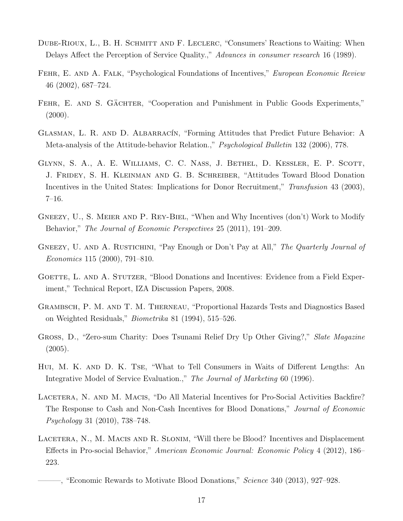- <span id="page-19-5"></span>DUBE-RIOUX, L., B. H. SCHMITT AND F. LECLERC, "Consumers' Reactions to Waiting: When Delays Affect the Perception of Service Quality.," Advances in consumer research 16 (1989).
- <span id="page-19-1"></span>FEHR, E. AND A. FALK, "Psychological Foundations of Incentives," European Economic Review 46 (2002), 687–724.
- <span id="page-19-0"></span>FEHR, E. AND S. GÄCHTER, "Cooperation and Punishment in Public Goods Experiments,"  $(2000).$
- <span id="page-19-7"></span>GLASMAN, L. R. AND D. ALBARRACIN, "Forming Attitudes that Predict Future Behavior: A Meta-analysis of the Attitude-behavior Relation.," Psychological Bulletin 132 (2006), 778.
- <span id="page-19-8"></span>GLYNN, S. A., A. E. WILLIAMS, C. C. NASS, J. BETHEL, D. KESSLER, E. P. SCOTT, J. Fridey, S. H. Kleinman and G. B. Schreiber, "Attitudes Toward Blood Donation Incentives in the United States: Implications for Donor Recruitment," Transfusion 43 (2003), 7–16.
- <span id="page-19-4"></span>GNEEZY, U., S. MEIER AND P. REY-BIEL, "When and Why Incentives (don't) Work to Modify Behavior," The Journal of Economic Perspectives 25 (2011), 191–209.
- <span id="page-19-2"></span>GNEEZY, U. AND A. RUSTICHINI, "Pay Enough or Don't Pay at All," The Quarterly Journal of Economics 115 (2000), 791–810.
- <span id="page-19-9"></span>GOETTE, L. AND A. STUTZER, "Blood Donations and Incentives: Evidence from a Field Experiment," Technical Report, IZA Discussion Papers, 2008.
- <span id="page-19-13"></span>Grambsch, P. M. and T. M. Therneau, "Proportional Hazards Tests and Diagnostics Based on Weighted Residuals," Biometrika 81 (1994), 515–526.
- <span id="page-19-12"></span>GROSS, D., "Zero-sum Charity: Does Tsunami Relief Dry Up Other Giving?," Slate Magazine  $(2005).$
- <span id="page-19-6"></span>Hui, M. K. and D. K. Tse, "What to Tell Consumers in Waits of Different Lengths: An Integrative Model of Service Evaluation.," The Journal of Marketing 60 (1996).
- <span id="page-19-11"></span>LACETERA, N. AND M. MACIS, "Do All Material Incentives for Pro-Social Activities Backfire? The Response to Cash and Non-Cash Incentives for Blood Donations," Journal of Economic Psychology 31 (2010), 738–748.
- <span id="page-19-10"></span>LACETERA, N., M. MACIS AND R. SLONIM, "Will there be Blood? Incentives and Displacement Effects in Pro-social Behavior," American Economic Journal: Economic Policy 4 (2012), 186– 223.

<span id="page-19-3"></span><sup>———, &</sup>quot;Economic Rewards to Motivate Blood Donations," Science 340 (2013), 927–928.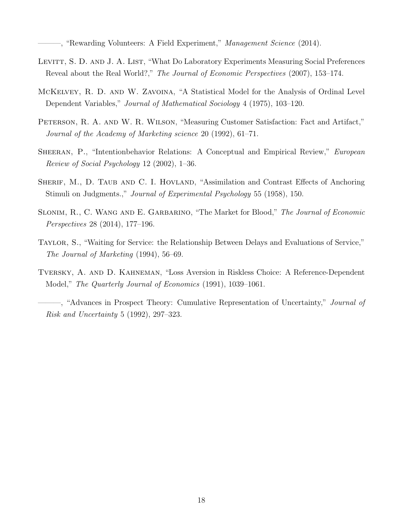<sup>-</sup>, "Rewarding Volunteers: A Field Experiment," *Management Science* (2014).

- <span id="page-20-3"></span><span id="page-20-0"></span>LEVITT, S. D. AND J. A. LIST, "What Do Laboratory Experiments Measuring Social Preferences Reveal about the Real World?," The Journal of Economic Perspectives (2007), 153–174.
- <span id="page-20-8"></span>McKelvey, R. D. and W. Zavoina, "A Statistical Model for the Analysis of Ordinal Level Dependent Variables," Journal of Mathematical Sociology 4 (1975), 103–120.
- <span id="page-20-7"></span>PETERSON, R. A. AND W. R. WILSON, "Measuring Customer Satisfaction: Fact and Artifact," Journal of the Academy of Marketing science 20 (1992), 61–71.
- <span id="page-20-2"></span>SHEERAN, P., "Intentionbehavior Relations: A Conceptual and Empirical Review," *European* Review of Social Psychology 12 (2002), 1–36.
- <span id="page-20-9"></span>SHERIF, M., D. TAUB AND C. I. HOVLAND, "Assimilation and Contrast Effects of Anchoring Stimuli on Judgments.," Journal of Experimental Psychology 55 (1958), 150.
- <span id="page-20-6"></span>SLONIM, R., C. WANG AND E. GARBARINO, "The Market for Blood," The Journal of Economic Perspectives 28 (2014), 177–196.
- <span id="page-20-1"></span>Taylor, S., "Waiting for Service: the Relationship Between Delays and Evaluations of Service," The Journal of Marketing (1994), 56–69.
- <span id="page-20-5"></span><span id="page-20-4"></span>Tversky, A. and D. Kahneman, "Loss Aversion in Riskless Choice: A Reference-Dependent Model," The Quarterly Journal of Economics (1991), 1039–1061.
	- <sup>-</sup>, "Advances in Prospect Theory: Cumulative Representation of Uncertainty," *Journal of* Risk and Uncertainty 5 (1992), 297–323.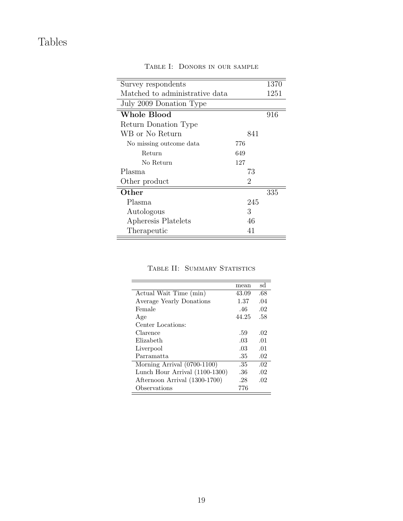# <span id="page-21-0"></span>Tables

| Survey respondents             |     | 1370 |
|--------------------------------|-----|------|
| Matched to administrative data |     | 1251 |
| July 2009 Donation Type        |     |      |
| <b>Whole Blood</b>             |     | 916  |
| Return Donation Type           |     |      |
| WB or No Return                | 841 |      |
| No missing outcome data        | 776 |      |
| Return                         | 649 |      |
| No Return                      | 127 |      |
| Plasma                         | 73  |      |
| Other product                  | 2   |      |
| Other                          |     | 335  |
| Plasma                         | 245 |      |
| Autologous                     | 3   |      |
| Apheresis Platelets            | 46  |      |
| Therapeutic                    | 41  |      |

Table I: Donors in our sample

|  | TABLE II: SUMMARY STATISTICS |
|--|------------------------------|
|  |                              |

<span id="page-21-1"></span>

|                                | mean  | sd  |
|--------------------------------|-------|-----|
| Actual Wait Time (min)         | 43.09 | .68 |
| Average Yearly Donations       | 1.37  | .04 |
| Female                         | .46   | .02 |
| Age                            | 44.25 | .58 |
| Center Locations:              |       |     |
| Clarence                       | .59   | .02 |
| Elizabeth                      | .03   | .01 |
| Liverpool                      | .03   | .01 |
| Parramatta                     | .35   | .02 |
| Morning Arrival (0700-1100)    | .35   | .02 |
| Lunch Hour Arrival (1100-1300) | .36   | .02 |
| Afternoon Arrival (1300-1700)  | .28   | .02 |
| Observations                   | 776   |     |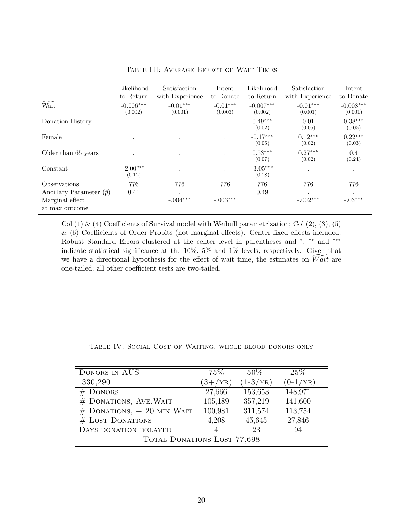<span id="page-22-0"></span>

|                                 | Likelihood             | Satisfaction          | Intent                | Likelihood             | Satisfaction          | Intent                 |
|---------------------------------|------------------------|-----------------------|-----------------------|------------------------|-----------------------|------------------------|
|                                 | to Return              | with Experience       | to Donate             | to Return              | with Experience       | to Donate              |
| Wait                            | $-0.006***$<br>(0.002) | $-0.01***$<br>(0.001) | $-0.01***$<br>(0.003) | $-0.007***$<br>(0.002) | $-0.01***$<br>(0.001) | $-0.008***$<br>(0.001) |
| Donation History                | $\cdot$                | $\cdot$               |                       | $0.49***$<br>(0.02)    | 0.01<br>(0.05)        | $0.38***$<br>(0.05)    |
| Female                          |                        | $\bullet$             |                       | $-0.17***$<br>(0.05)   | $0.12***$<br>(0.02)   | $0.22***$<br>(0.03)    |
| Older than 65 years             |                        | $\cdot$               |                       | $0.53***$<br>(0.07)    | $0.27***$<br>(0.02)   | 0.4<br>(0.24)          |
| Constant                        | $-2.00***$<br>(0.12)   | $\cdot$               |                       | $-3.05***$<br>(0.18)   | $\bullet$             | $\bullet$              |
| Observations                    | 776                    | 776                   | 776                   | 776                    | 776                   | 776                    |
| Ancillary Parameter $(\hat{p})$ | 0.41                   | $\ddot{\phantom{0}}$  |                       | 0.49                   | $\bullet$             | ٠                      |
| Marginal effect                 |                        | $-.004***$            | $-.003***$            |                        | $-.002***$            | $-03***$               |
| at max outcome                  |                        |                       |                       |                        |                       |                        |

Table III: Average Effect of Wait Times

Col  $(1)$  &  $(4)$  Coefficients of Survival model with Weibull parametrization; Col  $(2)$ ,  $(3)$ ,  $(5)$ & (6) Coefficients of Order Probits (not marginal effects). Center fixed effects included. Robust Standard Errors clustered at the center level in parentheses and  $*$ ,  $**$  and  $***$ indicate statistical significance at the 10%, 5% and 1% levels, respectively. Given that we have a directional hypothesis for the effect of wait time, the estimates on  $Wait$  are one-tailed; all other coefficient tests are two-tailed.

<span id="page-22-1"></span>

| DONORS IN AUS                  | $75\%$      | $50\%$            | 25%               |  |  |
|--------------------------------|-------------|-------------------|-------------------|--|--|
| 330,290                        | $(3 + /YR)$ | $(1-3/\text{YR})$ | $(0-1/\text{YR})$ |  |  |
| $#$ DONORS                     | 27,666      | 153,653           | 148,971           |  |  |
| # DONATIONS, AVE. WAIT         | 105,189     | 357,219           | 141,600           |  |  |
| $#$ DONATIONS, $+$ 20 MIN WAIT | 100,981     | 311,574           | 113,754           |  |  |
| # LOST DONATIONS               | 4,208       | 45,645            | 27,846            |  |  |
| DAYS DONATION DELAYED          | 4           | 23                | 94                |  |  |
| TOTAL DONATIONS LOST 77,698    |             |                   |                   |  |  |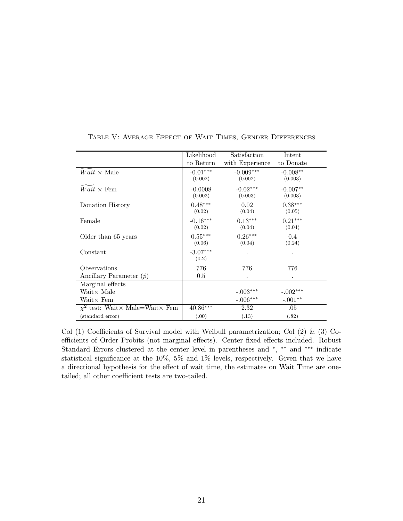<span id="page-23-0"></span>

|                                                     | Likelihood            | Satisfaction           | Intent                |
|-----------------------------------------------------|-----------------------|------------------------|-----------------------|
|                                                     | to Return             | with Experience        | to Donate             |
| $Wait \times Male$                                  | $-0.01***$<br>(0.002) | $-0.009***$<br>(0.002) | $-0.008**$<br>(0.003) |
| $Wait \times \text{Fem}$                            | $-0.0008$<br>(0.003)  | $-0.02***$<br>(0.003)  | $-0.007**$<br>(0.003) |
| Donation History                                    | $0.48***$<br>(0.02)   | 0.02<br>(0.04)         | $0.38***$<br>(0.05)   |
| Female                                              | $-0.16***$<br>(0.02)  | $0.13***$<br>(0.04)    | $0.21***$<br>(0.04)   |
| Older than 65 years                                 | $0.55***$<br>(0.06)   | $0.26***$<br>(0.04)    | 0.4<br>(0.24)         |
| Constant                                            | $-3.07***$<br>(0.2)   |                        |                       |
| Observations                                        | 776                   | 776                    | 776                   |
| Ancillary Parameter $(\hat{p})$                     | 0.5                   |                        |                       |
| Marginal effects                                    |                       |                        |                       |
| $Wait \times Male$                                  |                       | $-.003***$             | $-.002***$            |
| $Wait \times Fem$                                   |                       | $-.006***$             | $-.001**$             |
| $\chi^2$ test: Wait $\times$ Male=Wait $\times$ Fem | $40.86***$            | 2.32                   | .05                   |
| (standard error)                                    | (.00)                 | (.13)                  | (.82)                 |

Table V: Average Effect of Wait Times, Gender Differences

Col (1) Coefficients of Survival model with Weibull parametrization; Col (2)  $\&$  (3) Coefficients of Order Probits (not marginal effects). Center fixed effects included. Robust Standard Errors clustered at the center level in parentheses and  $*$ ,  $**$  and  $***$  indicate statistical significance at the 10%, 5% and 1% levels, respectively. Given that we have a directional hypothesis for the effect of wait time, the estimates on Wait Time are onetailed; all other coefficient tests are two-tailed.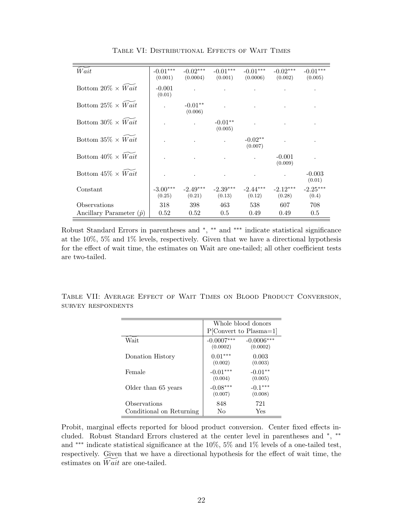<span id="page-24-0"></span>

| Wait                                            | $-0.01***$<br>(0.001) | $-0.02***$<br>(0.0004) | $-0.01***$<br>(0.001) | $-0.01***$<br>(0.0006) | $-0.02***$<br>(0.002) | $-0.01***$<br>(0.005) |
|-------------------------------------------------|-----------------------|------------------------|-----------------------|------------------------|-----------------------|-----------------------|
| Bottom $20\% \times Wait$                       | $-0.001$<br>(0.01)    |                        |                       |                        |                       |                       |
| Bottom $25\% \times Wait$                       |                       | $-0.01**$<br>(0.006)   |                       |                        |                       |                       |
| Bottom $30\% \times Wait$                       |                       |                        | $-0.01**$<br>(0.005)  |                        |                       |                       |
| Bottom $35\% \times Wait$                       |                       |                        |                       | $-0.02**$<br>(0.007)   |                       |                       |
| Bottom $40\% \times Wait$                       |                       |                        |                       |                        | $-0.001$<br>(0.009)   |                       |
| Bottom $45\% \times Wait$                       |                       |                        |                       |                        |                       | $-0.003$<br>(0.01)    |
| Constant                                        | $-3.00***$<br>(0.25)  | $-2.49***$<br>(0.21)   | $-2.39***$<br>(0.13)  | $-2.44***$<br>(0.12)   | $-2.12***$<br>(0.28)  | $-2.25***$<br>(0.4)   |
| Observations<br>Ancillary Parameter $(\hat{p})$ | 318<br>0.52           | 398<br>0.52            | 463<br>0.5            | 538<br>0.49            | 607<br>0.49           | 708<br>0.5            |

Table VI: Distributional Effects of Wait Times

Robust Standard Errors in parentheses and \*, \*\* and \*\*\* indicate statistical significance at the 10%, 5% and 1% levels, respectively. Given that we have a directional hypothesis for the effect of wait time, the estimates on Wait are one-tailed; all other coefficient tests are two-tailed.

<span id="page-24-1"></span>Table VII: Average Effect of Wait Times on Blood Product Conversion, survey respondents

|                          | Whole blood donors       |                          |  |
|--------------------------|--------------------------|--------------------------|--|
|                          |                          | $P[Convert to Plasma=1]$ |  |
| Wait                     | $-0.0007***$<br>(0.0002) | $-0.0006***$<br>(0.0002) |  |
| Donation History         | $0.01***$<br>(0.002)     | 0.003<br>(0.003)         |  |
| Female                   | $-0.01***$<br>(0.004)    | $-0.01**$<br>(0.005)     |  |
| Older than 65 years      | $-0.08***$<br>(0.007)    | $-0.1***$<br>(0.008)     |  |
| Observations             | 848                      | 721                      |  |
| Conditional on Returning | Nο                       | Yes                      |  |

Probit, marginal effects reported for blood product conversion. Center fixed effects included. Robust Standard Errors clustered at the center level in parentheses and <sup>∗</sup> , ∗∗ and ∗∗∗ indicate statistical significance at the 10%, 5% and 1% levels of a one-tailed test, respectively. Given that we have a directional hypothesis for the effect of wait time, the estimates on  $Wait$  are one-tailed.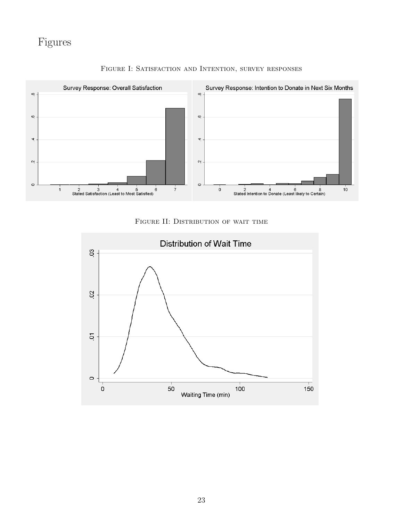<span id="page-25-0"></span>

FIGURE I: SATISFACTION AND INTENTION, SURVEY RESPONSES



<span id="page-25-1"></span>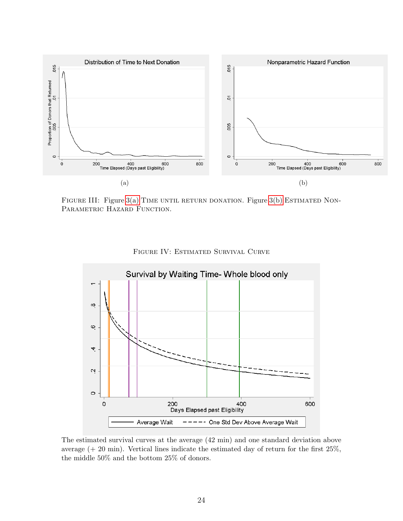<span id="page-26-0"></span>

<span id="page-26-1"></span>FIGURE III: Figure  $3(a)$  TIME UNTIL RETURN DONATION. Figure  $3(b)$  ESTIMATED NON-PARAMETRIC HAZARD FUNCTION.

<span id="page-26-3"></span>

<span id="page-26-2"></span>Figure IV: Estimated Survival Curve

The estimated survival curves at the average (42 min) and one standard deviation above average  $(+ 20 \text{ min})$ . Vertical lines indicate the estimated day of return for the first  $25\%$ , the middle 50% and the bottom 25% of donors.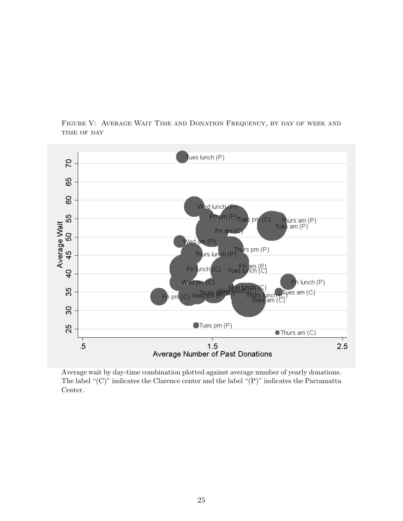<span id="page-27-0"></span>Figure V: Average Wait Time and Donation Frequency, by day of week and TIME OF DAY



Average wait by day-time combination plotted against average number of yearly donations. The label "(C)" indicates the Clarence center and the label "(P)" indicates the Parramatta Center.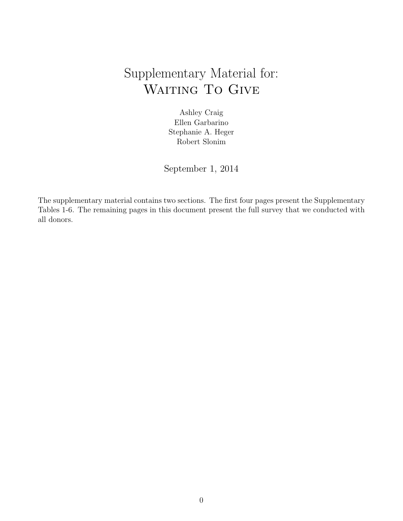# Supplementary Material for: WAITING TO GIVE

Ashley Craig Ellen Garbarino Stephanie A. Heger Robert Slonim

September 1, 2014

The supplementary material contains two sections. The first four pages present the Supplementary Tables 1-6. The remaining pages in this document present the full survey that we conducted with all donors.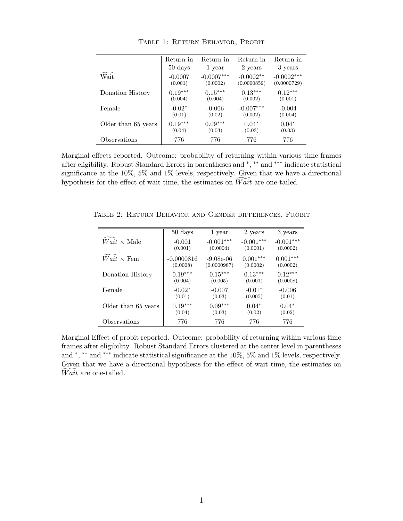|                     | Return in | Return in    | Return in   | Return in    |
|---------------------|-----------|--------------|-------------|--------------|
|                     | 50 days   | 1 year       | 2 years     | 3 years      |
| Wait                | $-0.0007$ | $-0.0007***$ | $-0.0002**$ | $-0.0002***$ |
|                     | (0.001)   | (0.0002)     | (0.0000859) | (0.0000729)  |
| Donation History    | $0.19***$ | $0.15***$    | $0.13***$   | $0.12***$    |
|                     | (0.004)   | (0.004)      | (0.002)     | (0.001)      |
| Female              | $-0.02*$  | $-0.006$     | $-0.007***$ | $-0.004$     |
|                     | (0.01)    | (0.02)       | (0.002)     | (0.004)      |
| Older than 65 years | $0.19***$ | $0.09***$    | $0.04*$     | $0.04*$      |
|                     | (0.04)    | (0.03)       | (0.03)      | (0.03)       |
| Observations        | 776       | 776          | 776         | 776          |

Table 1: Return Behavior, Probit

Marginal effects reported. Outcome: probability of returning within various time frames after eligibility. Robust Standard Errors in parentheses and <sup>∗</sup> , ∗∗ and ∗∗∗ indicate statistical significance at the 10%, 5% and 1% levels, respectively. Given that we have a directional hypothesis for the effect of wait time, the estimates on  $\widetilde{Wait}$  are one-tailed.

Table 2: Return Behavior and Gender differences, Probit

|                          | $50 \ \mathrm{days}$ | 1 year      | 2 years     | 3 years     |
|--------------------------|----------------------|-------------|-------------|-------------|
| $Wait \times Male$       | $-0.001$             | $-0.001***$ | $-0.001***$ | $-0.001***$ |
|                          | (0.001)              | (0.0004)    | (0.0001)    | (0.0002)    |
| $Wait \times \text{Fem}$ | $-0.0000816$         | $-9.08e-06$ | $0.001***$  | $0.001***$  |
|                          | (0.0008)             | (0.0000987) | (0.0002)    | (0.0002)    |
| Donation History         | $0.19***$            | $0.15***$   | $0.13***$   | $0.12***$   |
|                          | (0.004)              | (0.005)     | (0.001)     | (0.0008)    |
| Female                   | $-0.02*$             | $-0.007$    | $-0.01*$    | $-0.006$    |
|                          | (0.01)               | (0.03)      | (0.005)     | (0.01)      |
| Older than 65 years      | $0.19***$            | $0.09***$   | $0.04*$     | $0.04*$     |
|                          | (0.04)               | (0.03)      | (0.02)      | (0.02)      |
| Observations             | 776                  | 776         | 776         | 776         |

Marginal Effect of probit reported. Outcome: probability of returning within various time frames after eligibility. Robust Standard Errors clustered at the center level in parentheses and \*, \*\* and \*\*\* indicate statistical significance at the 10%, 5% and 1% levels, respectively. Given that we have a directional hypothesis for the effect of wait time, the estimates on  $Wait$  are one-tailed.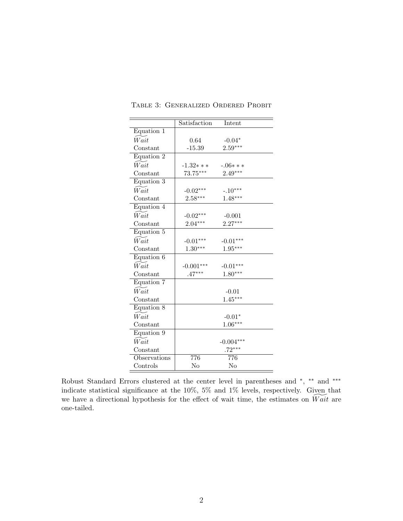|                    | Satisfaction | Intent         |
|--------------------|--------------|----------------|
| Equation 1         |              |                |
| $\widetilde{Wait}$ | 0.64         | $-0.04*$       |
| Constant           | $-15.39$     | $2.59***$      |
| Equation 2         |              |                |
| Wait               | $-1.32***$   | $-.06***$      |
| Constant           | 73.75***     | $2.49***$      |
| Equation 3         |              |                |
| $\widetilde{Wait}$ | $-0.02***$   | $-.10***$      |
| Constant           | $2.58***$    | $1.48***$      |
| Equation 4         |              |                |
| Wait               | $-0.02***$   | $-0.001$       |
| Constant           | $2.04***$    | $2.27***$      |
| Equation 5         |              |                |
| Wait               | $-0.01***$   | $-0.01***$     |
| Constant           | $1.30***$    | $1.95***$      |
| Equation 6         |              |                |
| Wait               | $-0.001***$  | $-0.01***$     |
| Constant           | $.47***$     | $1.80***$      |
| Equation 7         |              |                |
| $\widetilde{Wait}$ |              | $-0.01$        |
| Constant           |              | $1.45***$      |
| Equation 8         |              |                |
| Wait               |              | $-0.01*$       |
| Constant           |              | $1.06***$      |
| Equation 9         |              |                |
| $\widetilde{Wait}$ |              | $-0.004***$    |
| Constant           |              | $.72***$       |
| Observations       | 776          | 776            |
| Controls           | No           | N <sub>o</sub> |

Table 3: Generalized Ordered Probit

Robust Standard Errors clustered at the center level in parentheses and  $*$ ,  $**$  and  $***$ indicate statistical significance at the 10%, 5% and 1% levels, respectively. Given that we have a directional hypothesis for the effect of wait time, the estimates on  $\widetilde{Wait}$  are one-tailed.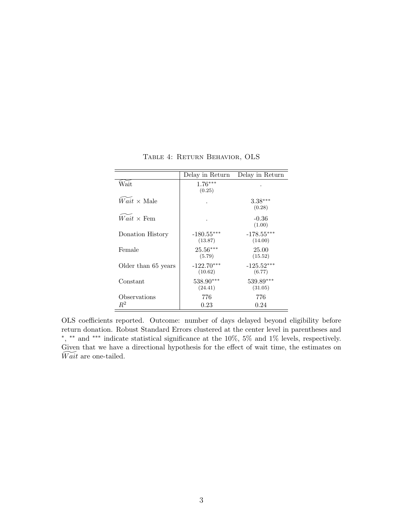|                          | Delay in Return         | Delay in Return         |
|--------------------------|-------------------------|-------------------------|
| Wait                     | $1.76***$<br>(0.25)     |                         |
| $Wait \times Male$       |                         | $3.38***$<br>(0.28)     |
| $Wait \times \text{Fem}$ |                         | $-0.36$<br>(1.00)       |
| Donation History         | $-180.55***$<br>(13.87) | $-178.55***$<br>(14.00) |
| Female                   | $25.56***$<br>(5.79)    | 25.00<br>(15.52)        |
| Older than 65 years      | $-122.70***$<br>(10.62) | $-125.52***$<br>(6.77)  |
| Constant                 | 538.90***<br>(24.41)    | 539.89***<br>(31.05)    |
| Observations             | 776                     | 776                     |
| $R^2$                    | $0.23\,$                | 0.24                    |

Table 4: Return Behavior, OLS

OLS coefficients reported. Outcome: number of days delayed beyond eligibility before return donation. Robust Standard Errors clustered at the center level in parentheses and ∗ , ∗∗ and ∗∗∗ indicate statistical significance at the 10%, 5% and 1% levels, respectively. Given that we have a directional hypothesis for the effect of wait time, the estimates on  $Wait$  are one-tailed.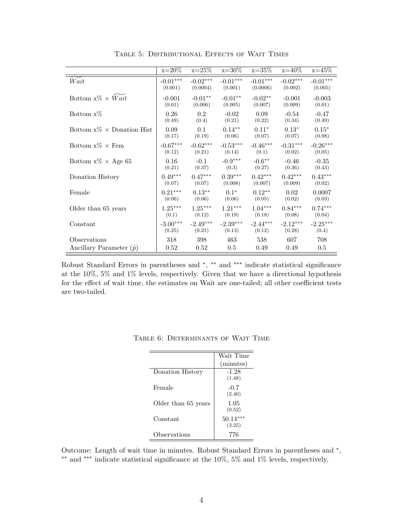|                                   | $x=20\%$   | $x=25%$    | $x=30\%$   | $x=35%$    | $x=40\%$   | $x=45\%$   |
|-----------------------------------|------------|------------|------------|------------|------------|------------|
| Wait                              | $-0.01***$ | $-0.02***$ | $-0.01***$ | $-0.01***$ | $-0.02***$ | $-0.01***$ |
|                                   | (0.001)    | (0.0004)   | (0.001)    | (0.0006)   | (0.002)    | (0.005)    |
| Bottom $x\% \times Wait$          | $-0.001$   | $-0.01**$  | $-0.01**$  | $-0.02**$  | $-0.001$   | $-0.003$   |
|                                   | (0.01)     | (0.006)    | (0.005)    | (0.007)    | (0.009)    | (0.01)     |
| Bottom $x\%$                      | 0.26       | 0.2        | $-0.02$    | 0.09       | $-0.54$    | $-0.47$    |
|                                   | (0.49)     | (0.4)      | (0.21)     | (0.22)     | (0.34)     | (0.49)     |
| Bottom $x\% \times$ Donation Hist | 0.09       | 0.1        | $0.14***$  | $0.11*$    | $0.13*$    | $0.15*$    |
|                                   | (0.17)     | (0.19)     | (0.06)     | (0.07)     | (0.07)     | (0.08)     |
| Bottom $x\% \times$ Fem           | $-0.67***$ | $-0.62***$ | $-0.53***$ | $-0.46***$ | $-0.31***$ | $-0.26***$ |
|                                   | (0.12)     | (0.21)     | (0.14)     | (0.1)      | (0.02)     | (0.05)     |
| Bottom $x\% \times Age 65$        | 0.16       | $-0.1$     | $-0.9***$  | $-0.6***$  | $-0.46$    | $-0.35$    |
|                                   | (0.21)     | (0.37)     | (0.3)      | (0.27)     | (0.36)     | (0.43)     |
| Donation History                  | $0.49***$  | $0.47***$  | $0.39***$  | $0.42***$  | $0.42***$  | $0.43***$  |
|                                   | (0.07)     | (0.07)     | (0.008)    | (0.007)    | (0.009)    | (0.02)     |
| Female                            | $0.21***$  | $0.13***$  | $0.1*$     | $0.12***$  | 0.02       | 0.0007     |
|                                   | (0.06)     | (0.06)     | (0.06)     | (0.05)     | (0.02)     | (0.03)     |
| Older than 65 years               | $1.25***$  | $1.25***$  | $1.21***$  | $1.04***$  | $0.84***$  | $0.74***$  |
|                                   | (0.1)      | (0.12)     | (0.19)     | (0.18)     | (0.08)     | (0.04)     |
| Constant                          | $-3.00***$ | $-2.49***$ | $-2.39***$ | $-2.44***$ | $-2.12***$ | $-2.25***$ |
|                                   | (0.25)     | (0.21)     | (0.13)     | (0.12)     | (0.28)     | (0.4)      |
| Observations                      | 318        | 398        | 463        | 538        | 607        | 708        |
| Ancillary Parameter $(\hat{p})$   | 0.52       | 0.52       | $0.5\,$    | 0.49       | 0.49       | $0.5\,$    |

Table 5: Distributional Effects of Wait Times

Robust Standard Errors in parentheses and \*, \*\* and \*\*\* indicate statistical significance at the 10%, 5% and 1% levels, respectively. Given that we have a directional hypothesis for the effect of wait time, the estimates on Wait are one-tailed; all other coefficient tests are two-tailed.

|                     | Wait Time            |
|---------------------|----------------------|
|                     | (minutes)            |
| Donation History    | $-1.28$<br>(1.48)    |
| Female              | $-0.7$<br>(2.40)     |
| Older than 65 years | 1.05<br>(0.52)       |
| Constant            | $50.14***$<br>(3.25) |
| Observations        | 776                  |

Table 6: Determinants of Wait Time

Outcome: Length of wait time in minutes. Robust Standard Errors in parentheses and  $^*$ , ∗∗ and ∗∗∗ indicate statistical significance at the 10%, 5% and 1% levels, respectively.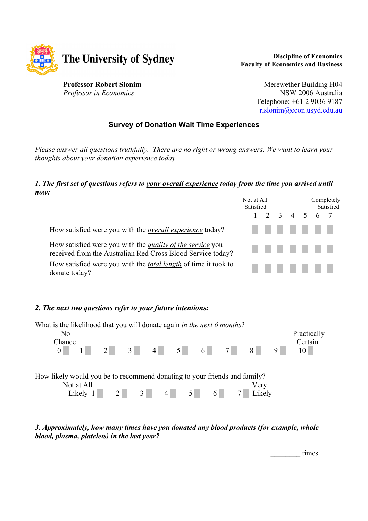

**Discipline of Economics Faculty of Economics and Business**

**Professor Robert Slonim** *Professor in Economics*

Merewether Building H04 NSW 2006 Australia Telephone: +61 2 9036 9187 r.slonim@econ.usyd.edu.au

### **Survey of Donation Wait Time Experiences**

*Please answer all questions truthfully. There are no right or wrong answers. We want to learn your thoughts about your donation experience today.*

# *1. The first set of questions refers to your overall experience today from the time you arrived until*

| now:                                                                                                                             |                                     |                         |  |  |
|----------------------------------------------------------------------------------------------------------------------------------|-------------------------------------|-------------------------|--|--|
|                                                                                                                                  | Not at All<br>Satisfied             | Completely<br>Satisfied |  |  |
|                                                                                                                                  | 2 3 4 5 6                           |                         |  |  |
| How satisfied were you with the <i>overall experience</i> today?                                                                 | and the control of the con-<br>a ka | and the state           |  |  |
| How satisfied were you with the <i>quality of the service</i> you<br>received from the Australian Red Cross Blood Service today? |                                     |                         |  |  |
| How satisfied were you with the <i>total length</i> of time it took to<br>donate today?                                          |                                     |                         |  |  |

### *2. The next two questions refer to your future intentions:*



*3. Approximately, how many times have you donated any blood products (for example, whole blood, plasma, platelets) in the last year?*

denotes the state of the state of the state of the state of the state of the state of the state of the state of the state of the state of the state of the state of the state of the state of the state of the state of the st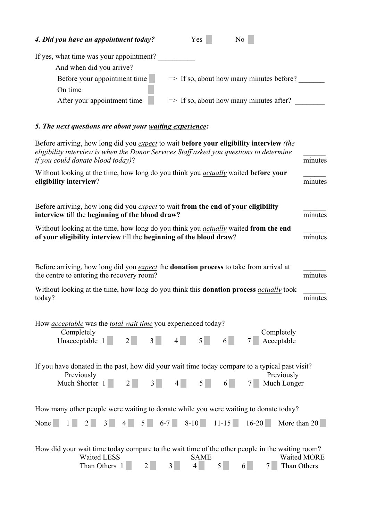| 4. Did you have an appointment today?   | N <sub>0</sub><br>Yes                               |
|-----------------------------------------|-----------------------------------------------------|
| If yes, what time was your appointment? |                                                     |
| And when did you arrive?                |                                                     |
| Before your appointment time            | $\Rightarrow$ If so, about how many minutes before? |
| On time                                 |                                                     |
| After your appointment time             | $\Rightarrow$ If so, about how many minutes after?  |

# *5. The next questions are about your waiting experience:*

| Before arriving, how long did you <i>expect</i> to wait <b>before your eligibility interview</b> (the<br>eligibility interview is when the Donor Services Staff asked you questions to determine<br><i>if you could donate blood today</i> )?   | minutes            |
|-------------------------------------------------------------------------------------------------------------------------------------------------------------------------------------------------------------------------------------------------|--------------------|
| Without looking at the time, how long do you think you <i>actually</i> waited <b>before your</b><br>eligibility interview?                                                                                                                      | minutes            |
| Before arriving, how long did you <i>expect</i> to wait from the end of your eligibility<br>interview till the beginning of the blood draw?                                                                                                     | minutes            |
| Without looking at the time, how long do you think you <i>actually</i> waited from the end<br>of your eligibility interview till the beginning of the blood draw?                                                                               | minutes            |
| Before arriving, how long did you <i>expect</i> the <b>donation process</b> to take from arrival at<br>the centre to entering the recovery room?                                                                                                | minutes            |
| Without looking at the time, how long do you think this <b>donation process</b> <i>actually</i> took<br>today?                                                                                                                                  | minutes            |
| How <i>acceptable</i> was the <i>total wait time</i> you experienced today?<br>Completely<br>Completely<br>$3\Box$<br>$\vert 4 \vert$<br>Acceptable<br>Unacceptable 1<br>5 <sup>1</sup><br>2 <sup>1</sup><br>6                                  |                    |
| If you have donated in the past, how did your wait time today compare to a typical past visit?<br>Previously<br>Previously<br>4<br>3 <sup>1</sup><br>5 <sup>1</sup><br>$2\vert$<br>6<br>Much Longer<br>Much Shorter 1                           |                    |
| How many other people were waiting to donate while you were waiting to donate today?<br>$5 \t 6-7 \t 8-10 \t 11-15 \t 16-20$<br>More than 20<br>None<br>$\overline{2}$<br>$\vert 4 \vert$<br>3                                                  |                    |
| How did your wait time today compare to the wait time of the other people in the waiting room?<br><b>Waited LESS</b><br><b>SAME</b><br>5 <sup>1</sup><br>Than Others 1<br>4<br>Than Others<br>$2\vert$<br>6 <sup>1</sup><br>3 <sup>1</sup><br>7 | <b>Waited MORE</b> |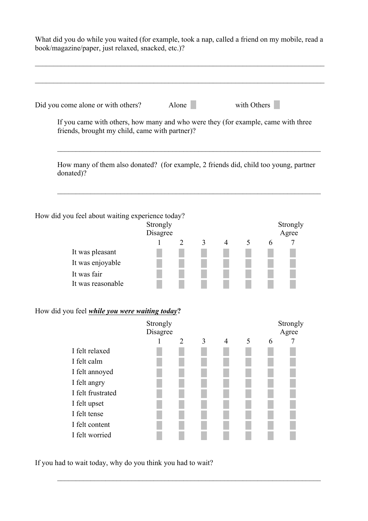What did you do while you waited (for example, took a nap, called a friend on my mobile, read a book/magazine/paper, just relaxed, snacked, etc.)?

| Did you come alone or with others?                                                                                                  |                      | Alone          |   |                | with Others |                   |
|-------------------------------------------------------------------------------------------------------------------------------------|----------------------|----------------|---|----------------|-------------|-------------------|
| If you came with others, how many and who were they (for example, came with three<br>friends, brought my child, came with partner)? |                      |                |   |                |             |                   |
| How many of them also donated? (for example, 2 friends did, child too young, partner<br>donated)?                                   |                      |                |   |                |             |                   |
| How did you feel about waiting experience today?                                                                                    |                      |                |   |                |             |                   |
|                                                                                                                                     | Strongly<br>Disagree |                |   |                |             | Strongly<br>Agree |
|                                                                                                                                     |                      | 2              | 3 | 4              | 5           | 7<br>6            |
| It was pleasant                                                                                                                     |                      |                |   |                |             |                   |
| It was enjoyable                                                                                                                    |                      |                |   |                |             |                   |
| It was fair                                                                                                                         |                      |                |   |                |             |                   |
| It was reasonable                                                                                                                   |                      |                |   |                |             |                   |
| How did you feel <i>while you were waiting today</i> ?                                                                              |                      |                |   |                |             |                   |
|                                                                                                                                     | Strongly             |                |   |                |             | Strongly          |
|                                                                                                                                     | Disagree             |                |   |                |             | Agree             |
| I felt relaxed                                                                                                                      | 1                    | $\overline{2}$ | 3 | $\overline{4}$ | 5           | 6<br>7            |
| I felt calm                                                                                                                         |                      |                |   |                |             |                   |
| I felt annoyed                                                                                                                      |                      |                |   |                |             |                   |
| I felt angry                                                                                                                        |                      |                |   |                |             |                   |
| I felt frustrated                                                                                                                   |                      |                |   |                |             |                   |
| I felt upset                                                                                                                        |                      |                |   |                |             |                   |
| I felt tense                                                                                                                        |                      |                |   |                |             |                   |
|                                                                                                                                     |                      |                |   |                |             |                   |
| I felt content                                                                                                                      |                      |                |   |                |             |                   |

 $\mathcal{L}_\text{max} = \mathcal{L}_\text{max} = \mathcal{L}_\text{max} = \mathcal{L}_\text{max} = \mathcal{L}_\text{max} = \mathcal{L}_\text{max} = \mathcal{L}_\text{max} = \mathcal{L}_\text{max} = \mathcal{L}_\text{max} = \mathcal{L}_\text{max} = \mathcal{L}_\text{max} = \mathcal{L}_\text{max} = \mathcal{L}_\text{max} = \mathcal{L}_\text{max} = \mathcal{L}_\text{max} = \mathcal{L}_\text{max} = \mathcal{L}_\text{max} = \mathcal{L}_\text{max} = \mathcal{$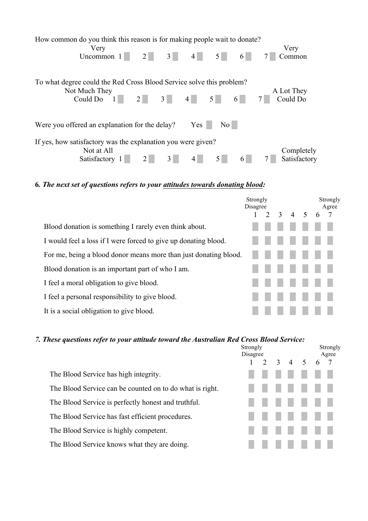| How common do you think this reason is for making people wait to donate?<br>Very                      |                                              |                |                 |                  |   | Very                       |
|-------------------------------------------------------------------------------------------------------|----------------------------------------------|----------------|-----------------|------------------|---|----------------------------|
| Uncommon $1$                                                                                          |                                              | $2$ 3 4 4      |                 | 5                |   | Common                     |
| To what degree could the Red Cross Blood Service solve this problem?<br>Not Much They<br>Could Do $1$ | $2 \begin{array}{ c c c } 3 & 4 \end{array}$ |                |                 | $5 \quad 6$      |   | A Lot They<br>Could Do     |
| Were you offered an explanation for the delay?                                                        |                                              |                | Yes             | $\overline{N_0}$ |   |                            |
| If yes, how satisfactory was the explanation you were given?<br>Not at All<br>Satisfactory 1          | 2 <sup>1</sup>                               | 3 <sup>1</sup> | $\vert 4 \vert$ | 5                | 6 | Completely<br>Satisfactory |

### **6***. The next set of questions refers to your attitudes towards donating blood:*

|                                                                  | Strongly<br>Disagree |                 |  |    | Strongly<br>Agree |  |
|------------------------------------------------------------------|----------------------|-----------------|--|----|-------------------|--|
|                                                                  |                      | $2 \t3 \t4 \t5$ |  | -6 | $\overline{7}$    |  |
| Blood donation is something I rarely even think about.           |                      |                 |  |    |                   |  |
| I would feel a loss if I were forced to give up donating blood.  |                      |                 |  |    |                   |  |
| For me, being a blood donor means more than just donating blood. |                      |                 |  |    |                   |  |
| Blood donation is an important part of who I am.                 |                      |                 |  |    |                   |  |
| I feel a moral obligation to give blood.                         |                      |                 |  |    |                   |  |
| I feel a personal responsibility to give blood.                  |                      |                 |  |    |                   |  |
| It is a social obligation to give blood.                         |                      |                 |  |    |                   |  |

### *7. These questions refer to your attitude toward the Australian Red Cross Blood Service:*

Strongly Strongly Disagree Agree 1 2 3 4 5 6 7 The Blood Service has high integrity. The Blood Service can be counted on to do what is right. The Blood Service is perfectly honest and truthful. The Blood Service has fast efficient procedures. The Blood Service is highly competent. The Blood Service knows what they are doing.